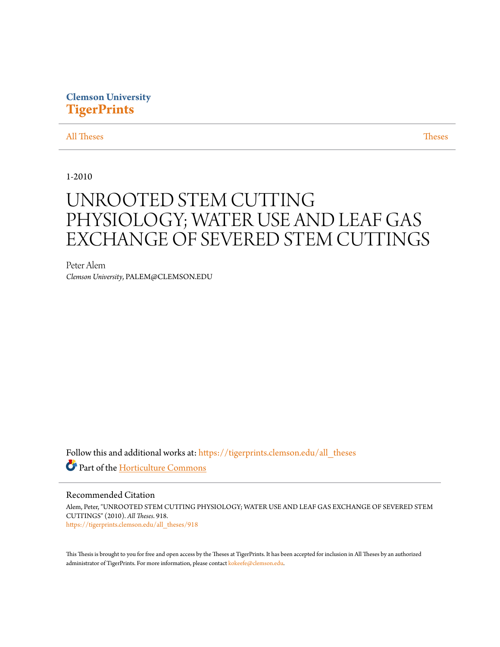# **Clemson University [TigerPrints](https://tigerprints.clemson.edu?utm_source=tigerprints.clemson.edu%2Fall_theses%2F918&utm_medium=PDF&utm_campaign=PDFCoverPages)**

# [All Theses](https://tigerprints.clemson.edu/all_theses?utm_source=tigerprints.clemson.edu%2Fall_theses%2F918&utm_medium=PDF&utm_campaign=PDFCoverPages) **[Theses](https://tigerprints.clemson.edu/theses?utm_source=tigerprints.clemson.edu%2Fall_theses%2F918&utm_medium=PDF&utm_campaign=PDFCoverPages)**

1-2010

# UNROOTED STEM CUTTING PHYSIOLOGY; WATER USE AND LEAF GAS EXCHANGE OF SEVERED STEM CUTTINGS

Peter Alem *Clemson University*, PALEM@CLEMSON.EDU

Follow this and additional works at: [https://tigerprints.clemson.edu/all\\_theses](https://tigerprints.clemson.edu/all_theses?utm_source=tigerprints.clemson.edu%2Fall_theses%2F918&utm_medium=PDF&utm_campaign=PDFCoverPages) Part of the [Horticulture Commons](http://network.bepress.com/hgg/discipline/105?utm_source=tigerprints.clemson.edu%2Fall_theses%2F918&utm_medium=PDF&utm_campaign=PDFCoverPages)

# Recommended Citation

Alem, Peter, "UNROOTED STEM CUTTING PHYSIOLOGY; WATER USE AND LEAF GAS EXCHANGE OF SEVERED STEM CUTTINGS" (2010). *All Theses*. 918. [https://tigerprints.clemson.edu/all\\_theses/918](https://tigerprints.clemson.edu/all_theses/918?utm_source=tigerprints.clemson.edu%2Fall_theses%2F918&utm_medium=PDF&utm_campaign=PDFCoverPages)

This Thesis is brought to you for free and open access by the Theses at TigerPrints. It has been accepted for inclusion in All Theses by an authorized administrator of TigerPrints. For more information, please contact [kokeefe@clemson.edu](mailto:kokeefe@clemson.edu).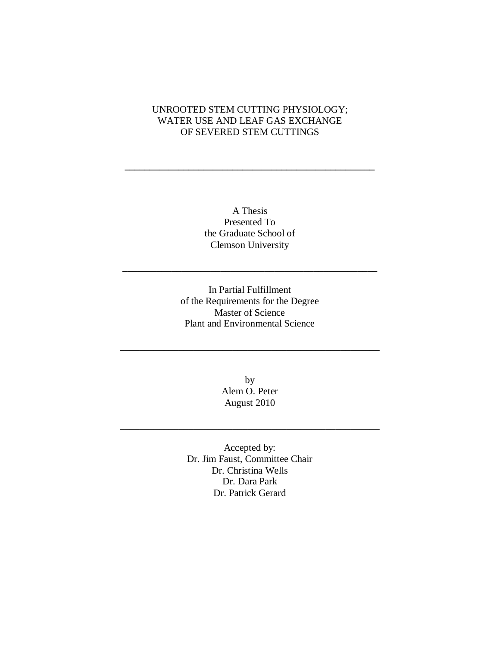# UNROOTED STEM CUTTING PHYSIOLOGY; WATER USE AND LEAF GAS EXCHANGE OF SEVERED STEM CUTTINGS

**\_\_\_\_\_\_\_\_\_\_\_\_\_\_\_\_\_\_\_\_\_\_\_\_\_\_\_\_\_\_\_\_\_\_\_\_\_\_\_\_\_\_\_\_\_\_\_\_\_\_\_**

A Thesis Presented To the Graduate School of Clemson University

\_\_\_\_\_\_\_\_\_\_\_\_\_\_\_\_\_\_\_\_\_\_\_\_\_\_\_\_\_\_\_\_\_\_\_\_\_\_\_\_\_\_\_\_\_\_\_\_\_\_\_\_

In Partial Fulfillment of the Requirements for the Degree Master of Science Plant and Environmental Science

\_\_\_\_\_\_\_\_\_\_\_\_\_\_\_\_\_\_\_\_\_\_\_\_\_\_\_\_\_\_\_\_\_\_\_\_\_\_\_\_\_\_\_\_\_\_\_\_\_\_\_\_\_

by Alem O. Peter August 2010

\_\_\_\_\_\_\_\_\_\_\_\_\_\_\_\_\_\_\_\_\_\_\_\_\_\_\_\_\_\_\_\_\_\_\_\_\_\_\_\_\_\_\_\_\_\_\_\_\_\_\_\_\_

Accepted by: Dr. Jim Faust, Committee Chair Dr. Christina Wells Dr. Dara Park Dr. Patrick Gerard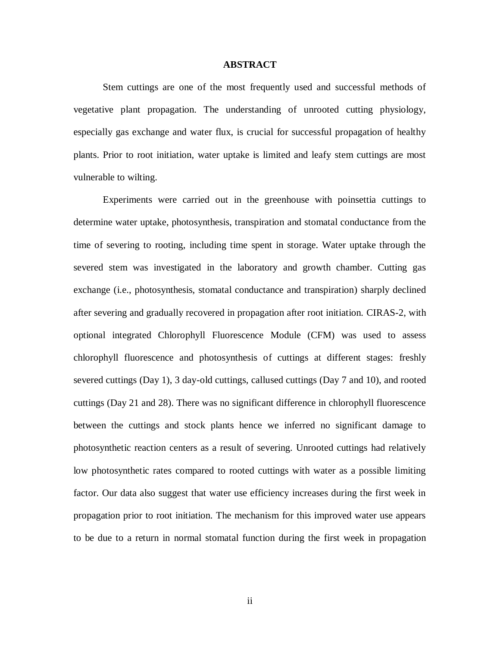#### **ABSTRACT**

<span id="page-2-0"></span>Stem cuttings are one of the most frequently used and successful methods of vegetative plant propagation. The understanding of unrooted cutting physiology, especially gas exchange and water flux, is crucial for successful propagation of healthy plants. Prior to root initiation, water uptake is limited and leafy stem cuttings are most vulnerable to wilting.

Experiments were carried out in the greenhouse with poinsettia cuttings to determine water uptake, photosynthesis, transpiration and stomatal conductance from the time of severing to rooting, including time spent in storage. Water uptake through the severed stem was investigated in the laboratory and growth chamber. Cutting gas exchange (i.e., photosynthesis, stomatal conductance and transpiration) sharply declined after severing and gradually recovered in propagation after root initiation. CIRAS-2, with optional integrated Chlorophyll Fluorescence Module (CFM) was used to assess chlorophyll fluorescence and photosynthesis of cuttings at different stages: freshly severed cuttings (Day 1), 3 day-old cuttings, callused cuttings (Day 7 and 10), and rooted cuttings (Day 21 and 28). There was no significant difference in chlorophyll fluorescence between the cuttings and stock plants hence we inferred no significant damage to photosynthetic reaction centers as a result of severing. Unrooted cuttings had relatively low photosynthetic rates compared to rooted cuttings with water as a possible limiting factor. Our data also suggest that water use efficiency increases during the first week in propagation prior to root initiation. The mechanism for this improved water use appears to be due to a return in normal stomatal function during the first week in propagation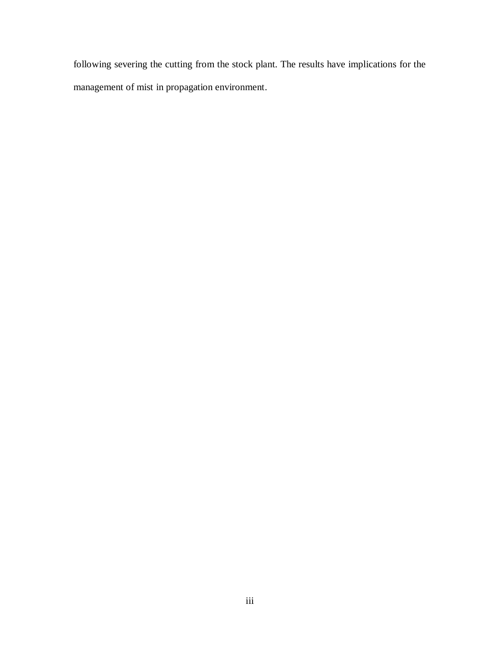following severing the cutting from the stock plant. The results have implications for the management of mist in propagation environment.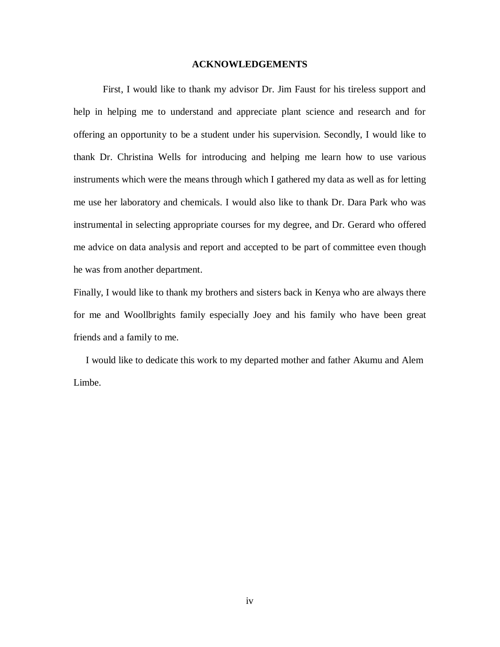#### **ACKNOWLEDGEMENTS**

<span id="page-4-0"></span>First, I would like to thank my advisor Dr. Jim Faust for his tireless support and help in helping me to understand and appreciate plant science and research and for offering an opportunity to be a student under his supervision. Secondly, I would like to thank Dr. Christina Wells for introducing and helping me learn how to use various instruments which were the means through which I gathered my data as well as for letting me use her laboratory and chemicals. I would also like to thank Dr. Dara Park who was instrumental in selecting appropriate courses for my degree, and Dr. Gerard who offered me advice on data analysis and report and accepted to be part of committee even though he was from another department.

Finally, I would like to thank my brothers and sisters back in Kenya who are always there for me and Woollbrights family especially Joey and his family who have been great friends and a family to me.

 I would like to dedicate this work to my departed mother and father Akumu and Alem Limbe.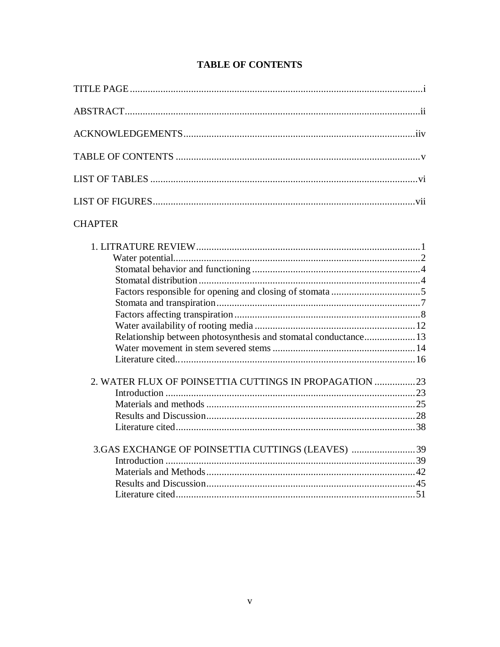# **TABLE OF CONTENTS**

<span id="page-5-0"></span>

| <b>CHAPTER</b>                                                                                                  |  |
|-----------------------------------------------------------------------------------------------------------------|--|
|                                                                                                                 |  |
|                                                                                                                 |  |
|                                                                                                                 |  |
|                                                                                                                 |  |
|                                                                                                                 |  |
| the contract of the contract of the contract of the contract of the contract of the contract of the contract of |  |

| Relationship between photosynthesis and stomatal conductance 13 |  |
|-----------------------------------------------------------------|--|
|                                                                 |  |
|                                                                 |  |
|                                                                 |  |
|                                                                 |  |
| 2. WATER FLUX OF POINSETTIA CUTTINGS IN PROPAGATION 23          |  |
|                                                                 |  |
|                                                                 |  |
|                                                                 |  |
|                                                                 |  |
|                                                                 |  |
| 3. GAS EXCHANGE OF POINSETTIA CUTTINGS (LEAVES) 39              |  |
|                                                                 |  |
|                                                                 |  |
|                                                                 |  |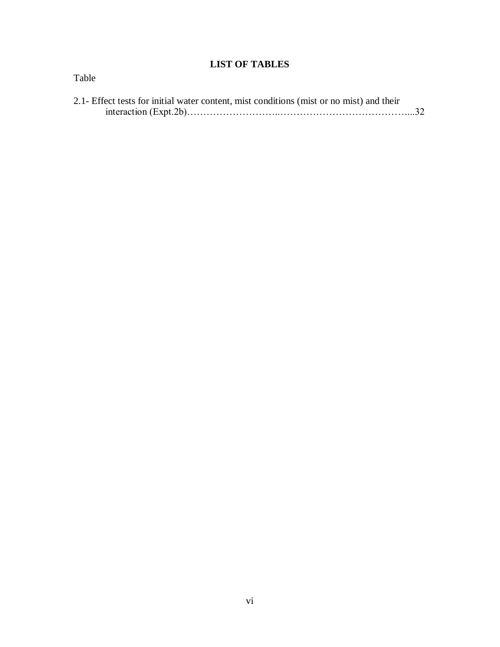# **LIST OF TABLES**

<span id="page-6-0"></span>

| Table                                                                                    |  |
|------------------------------------------------------------------------------------------|--|
| 2.1- Effect tests for initial water content, mist conditions (mist or no mist) and their |  |
|                                                                                          |  |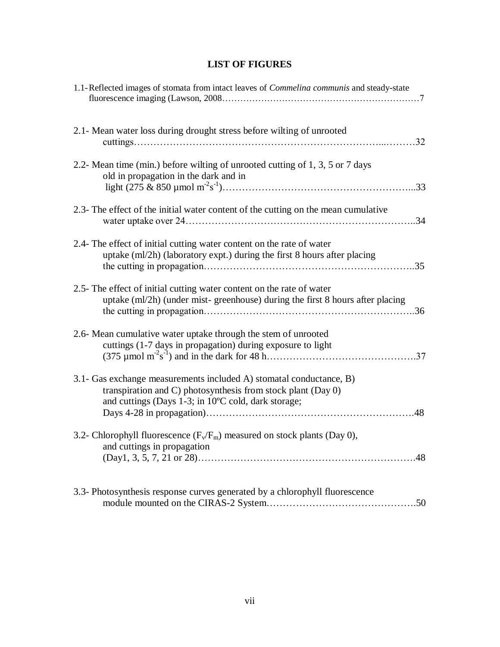| <b>LIST OF FIGURES</b> |  |  |  |
|------------------------|--|--|--|
|------------------------|--|--|--|

<span id="page-7-0"></span>

| 1.1-Reflected images of stomata from intact leaves of <i>Commelina communis</i> and steady-state                                                                                                 |
|--------------------------------------------------------------------------------------------------------------------------------------------------------------------------------------------------|
| 2.1- Mean water loss during drought stress before wilting of unrooted<br>.32                                                                                                                     |
| 2.2- Mean time (min.) before wilting of unrooted cutting of 1, 3, 5 or 7 days<br>old in propagation in the dark and in                                                                           |
| 2.3- The effect of the initial water content of the cutting on the mean cumulative                                                                                                               |
| 2.4- The effect of initial cutting water content on the rate of water<br>uptake (ml/2h) (laboratory expt.) during the first 8 hours after placing                                                |
| 2.5- The effect of initial cutting water content on the rate of water<br>uptake (ml/2h) (under mist-greenhouse) during the first 8 hours after placing                                           |
| 2.6- Mean cumulative water uptake through the stem of unrooted<br>cuttings (1-7 days in propagation) during exposure to light                                                                    |
| 3.1- Gas exchange measurements included A) stomatal conductance, B)<br>transpiration and C) photosynthesis from stock plant (Day 0)<br>and cuttings (Days 1-3; in 10°C cold, dark storage;<br>48 |
| 3.2- Chlorophyll fluorescence ( $F_v/F_m$ ) measured on stock plants (Day 0),<br>and cuttings in propagation<br>48                                                                               |
| 3.3- Photosynthesis response curves generated by a chlorophyll fluorescence                                                                                                                      |

module mounted on the CIRAS-2 System……………………………………….50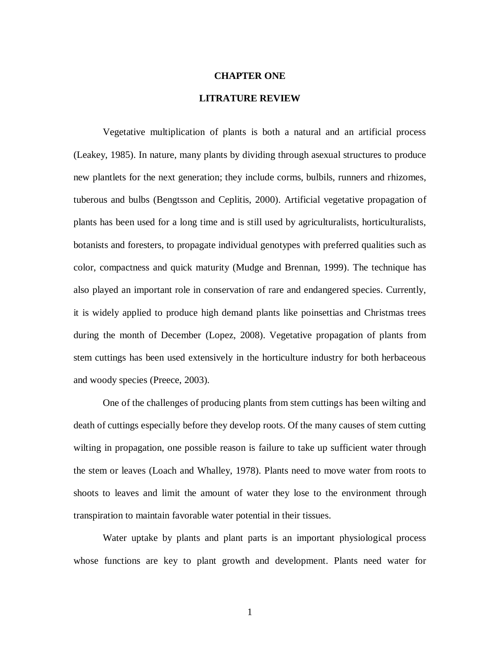## <span id="page-8-0"></span>**CHAPTER ONE**

# **LITRATURE REVIEW**

<span id="page-8-1"></span>Vegetative multiplication of plants is both a natural and an artificial process (Leakey, 1985). In nature, many plants by dividing through asexual structures to produce new plantlets for the next generation; they include corms, bulbils, runners and rhizomes, tuberous and bulbs (Bengtsson and Ceplitis, 2000). Artificial vegetative propagation of plants has been used for a long time and is still used by agriculturalists, horticulturalists, botanists and foresters, to propagate individual genotypes with preferred qualities such as color, compactness and quick maturity (Mudge and Brennan, 1999). The technique has also played an important role in conservation of rare and endangered species. Currently, it is widely applied to produce high demand plants like poinsettias and Christmas trees during the month of December (Lopez, 2008). Vegetative propagation of plants from stem cuttings has been used extensively in the horticulture industry for both herbaceous and woody species (Preece, 2003).

One of the challenges of producing plants from stem cuttings has been wilting and death of cuttings especially before they develop roots. Of the many causes of stem cutting wilting in propagation, one possible reason is failure to take up sufficient water through the stem or leaves (Loach and Whalley, 1978). Plants need to move water from roots to shoots to leaves and limit the amount of water they lose to the environment through transpiration to maintain favorable water potential in their tissues.

Water uptake by plants and plant parts is an important physiological process whose functions are key to plant growth and development. Plants need water for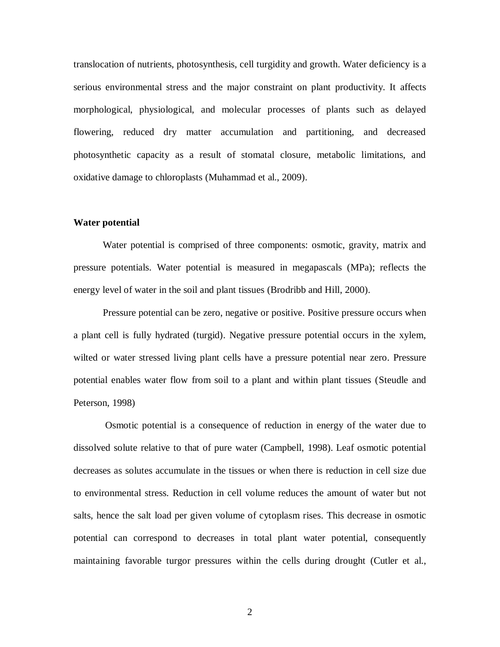translocation of nutrients, photosynthesis, cell turgidity and growth. Water deficiency is a serious environmental stress and the major constraint on plant productivity. It affects morphological, physiological, and molecular processes of plants such as delayed flowering, reduced dry matter accumulation and partitioning, and decreased photosynthetic capacity as a result of stomatal closure, metabolic limitations, and oxidative damage to chloroplasts (Muhammad et al., 2009).

#### <span id="page-9-0"></span>**Water potential**

Water potential is comprised of three components: osmotic, gravity, matrix and pressure potentials. Water potential is measured in megapascals (MPa); reflects the energy level of water in the soil and plant tissues (Brodribb and Hill, 2000).

Pressure potential can be zero, negative or positive. Positive pressure occurs when a plant cell is fully hydrated (turgid). Negative pressure potential occurs in the xylem, wilted or water stressed living plant cells have a pressure potential near zero. Pressure potential enables water flow from soil to a plant and within plant tissues (Steudle and Peterson, 1998)

Osmotic potential is a consequence of reduction in energy of the water due to dissolved solute relative to that of pure water (Campbell, 1998). Leaf osmotic potential decreases as solutes accumulate in the tissues or when there is reduction in cell size due to environmental stress. Reduction in cell volume reduces the amount of water but not salts, hence the salt load per given volume of cytoplasm rises. This decrease in osmotic potential can correspond to decreases in total plant water potential, consequently maintaining favorable turgor pressures within the cells during drought (Cutler et al.,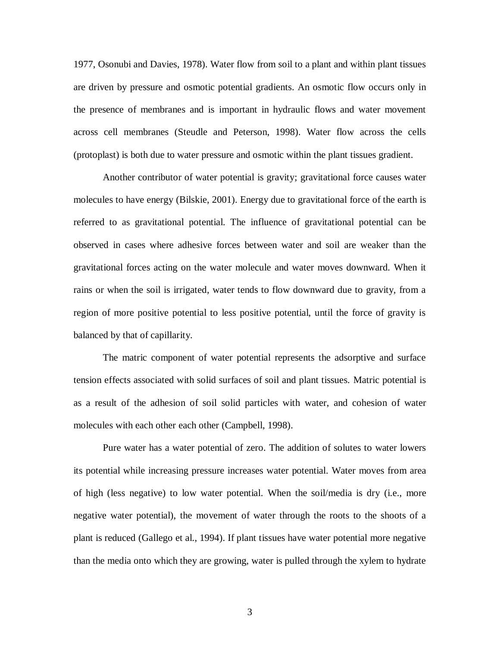1977, Osonubi and Davies, 1978). Water flow from soil to a plant and within plant tissues are driven by pressure and osmotic potential gradients. An osmotic flow occurs only in the presence of membranes and is important in hydraulic flows and water movement across cell membranes (Steudle and Peterson, 1998). Water flow across the cells (protoplast) is both due to water pressure and osmotic within the plant tissues gradient.

Another contributor of water potential is gravity; gravitational force causes water molecules to have energy (Bilskie, 2001). Energy due to gravitational force of the earth is referred to as gravitational potential. The influence of gravitational potential can be observed in cases where adhesive forces between water and soil are weaker than the gravitational forces acting on the water molecule and water moves downward. When it rains or when the soil is irrigated, water tends to flow downward due to gravity, from a region of more positive potential to less positive potential, until the force of gravity is balanced by that of capillarity.

The matric component of water potential represents the adsorptive and surface tension effects associated with solid surfaces of soil and plant tissues. Matric potential is as a result of the adhesion of soil solid particles with water, and cohesion of water molecules with each other each other (Campbell, 1998).

Pure water has a water potential of zero. The addition of solutes to water lowers its potential while increasing pressure increases water potential. Water moves from area of high (less negative) to low water potential. When the soil/media is dry (i.e., more negative water potential), the movement of water through the roots to the shoots of a plant is reduced (Gallego et al., 1994). If plant tissues have water potential more negative than the media onto which they are growing, water is pulled through the xylem to hydrate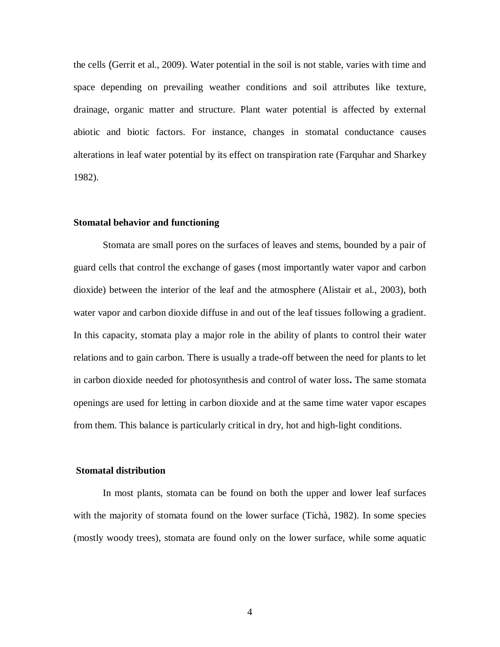the cells (Gerrit et al., 2009). Water potential in the soil is not stable, varies with time and space depending on prevailing weather conditions and soil attributes like texture, drainage, organic matter and structure. Plant water potential is affected by external abiotic and biotic factors. For instance, changes in stomatal conductance causes alterations in leaf water potential by its effect on transpiration rate (Farquhar and Sharkey 1982).

#### <span id="page-11-0"></span>**Stomatal behavior and functioning**

Stomata are small pores on the surfaces of leaves and stems, bounded by a pair of guard cells that control the exchange of gases (most importantly water vapor and carbon dioxide) between the interior of the leaf and the atmosphere (Alistair et al., 2003), both water vapor and carbon dioxide diffuse in and out of the leaf tissues following a gradient. In this capacity, stomata play a major role in the ability of plants to control their water relations and to gain carbon. There is usually a trade-off between the need for plants to let in carbon dioxide needed for photosynthesis and control of water loss**.** The same stomata openings are used for letting in carbon dioxide and at the same time water vapor escapes from them. This balance is particularly critical in dry, hot and high-light conditions.

## <span id="page-11-1"></span>**Stomatal distribution**

In most plants, stomata can be found on both the upper and lower leaf surfaces with the majority of stomata found on the lower surface (Tichà, 1982). In some species (mostly woody trees), stomata are found only on the lower surface, while some aquatic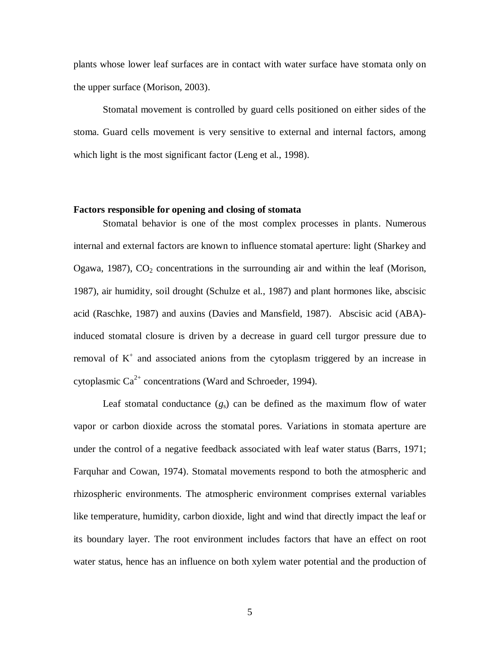plants whose lower leaf surfaces are in contact with water surface have stomata only on the upper surface (Morison, 2003).

Stomatal movement is controlled by guard cells positioned on either sides of the stoma. Guard cells movement is very sensitive to external and internal factors, among which light is the most significant factor (Leng et al., 1998).

### <span id="page-12-0"></span>**Factors responsible for opening and closing of stomata**

Stomatal behavior is one of the most complex processes in plants. Numerous internal and external factors are known to influence stomatal aperture: light (Sharkey and Ogawa, 1987),  $CO<sub>2</sub>$  concentrations in the surrounding air and within the leaf (Morison, 1987), air humidity, soil drought (Schulze et al., 1987) and plant hormones like, abscisic acid (Raschke, 1987) and auxins (Davies and Mansfield, 1987). Abscisic acid (ABA) induced stomatal closure is driven by a decrease in guard cell turgor pressure due to removal of  $K^+$  and associated anions from the cytoplasm triggered by an increase in cytoplasmic  $Ca^{2+}$  concentrations (Ward and Schroeder, 1994).

Leaf stomatal conductance  $(g_s)$  can be defined as the maximum flow of water vapor or carbon dioxide across the stomatal pores. Variations in stomata aperture are under the control of a negative feedback associated with leaf water status (Barrs, 1971; Farquhar and Cowan, 1974). Stomatal movements respond to both the atmospheric and rhizospheric environments. The atmospheric environment comprises external variables like temperature, humidity, carbon dioxide, light and wind that directly impact the leaf or its boundary layer. The root environment includes factors that have an effect on root water status, hence has an influence on both xylem water potential and the production of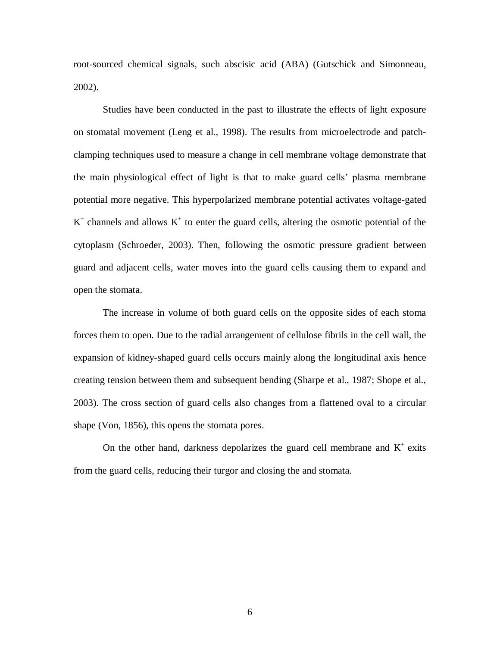root-sourced chemical signals, such abscisic acid (ABA) (Gutschick and Simonneau, 2002).

Studies have been conducted in the past to illustrate the effects of light exposure on stomatal movement (Leng et al., 1998). The results from microelectrode and patchclamping techniques used to measure a change in cell membrane voltage demonstrate that the main physiological effect of light is that to make guard cells' plasma membrane potential more negative. This hyperpolarized membrane potential activates voltage-gated  $K^+$  channels and allows  $K^+$  to enter the guard cells, altering the osmotic potential of the cytoplasm (Schroeder, 2003). Then, following the osmotic pressure gradient between guard and adjacent cells, water moves into the guard cells causing them to expand and open the stomata.

The increase in volume of both guard cells on the opposite sides of each stoma forces them to open. Due to the radial arrangement of cellulose fibrils in the cell wall, the expansion of kidney-shaped guard cells occurs mainly along the longitudinal axis hence creating tension between them and subsequent bending (Sharpe et al., 1987; Shope et al., 2003). The cross section of guard cells also changes from a flattened oval to a circular shape (Von, 1856), this opens the stomata pores.

On the other hand, darkness depolarizes the guard cell membrane and  $K^+$  exits from the guard cells, reducing their turgor and closing the and stomata.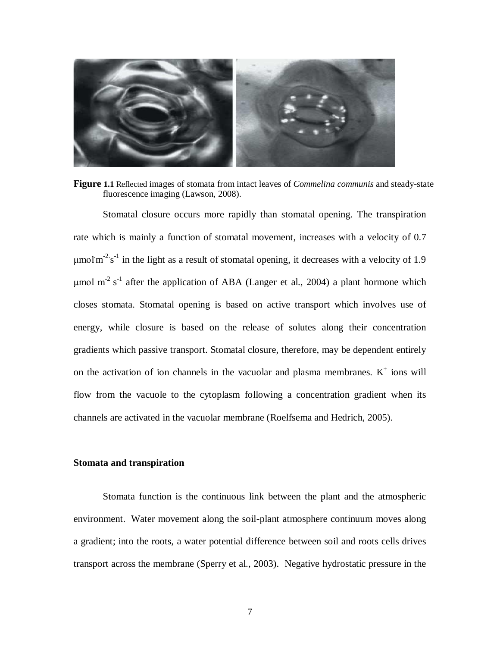

**Figure 1.1** Reflected images of stomata from intact leaves of *Commelina communis* and steady-state fluorescence imaging (Lawson, 2008).

Stomatal closure occurs more rapidly than stomatal opening. The transpiration rate which is mainly a function of stomatal movement, increases with a velocity of 0.7 μmol $m<sup>-2</sup>$  s<sup>-1</sup> in the light as a result of stomatal opening, it decreases with a velocity of 1.9 μmol m<sup>-2</sup> s<sup>-1</sup> after the application of ABA (Langer et al., 2004) a plant hormone which closes stomata. Stomatal opening is based on active transport which involves use of energy, while closure is based on the release of solutes along their concentration gradients which passive transport. Stomatal closure, therefore, may be dependent entirely on the activation of ion channels in the vacuolar and plasma membranes.  $K^+$  ions will flow from the vacuole to the cytoplasm following a concentration gradient when its channels are activated in the vacuolar membrane (Roelfsema and Hedrich, 2005).

# <span id="page-14-0"></span>**Stomata and transpiration**

Stomata function is the continuous link between the plant and the atmospheric environment. Water movement along the soil-plant atmosphere continuum moves along a gradient; into the roots, a water potential difference between soil and roots cells drives transport across the membrane (Sperry et al., 2003). Negative hydrostatic pressure in the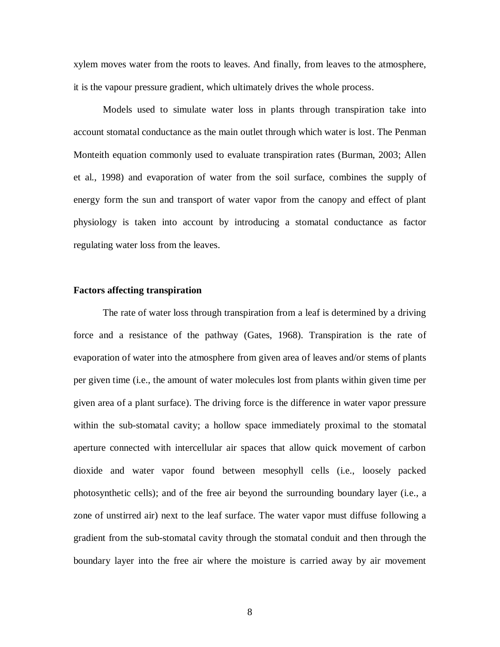xylem moves water from the roots to leaves. And finally, from leaves to the atmosphere, it is the vapour pressure gradient, which ultimately drives the whole process.

Models used to simulate water loss in plants through transpiration take into account stomatal conductance as the main outlet through which water is lost. The Penman Monteith equation commonly used to evaluate transpiration rates (Burman, 2003; Allen et al., 1998) and evaporation of water from the soil surface, combines the supply of energy form the sun and transport of water vapor from the canopy and effect of plant physiology is taken into account by introducing a stomatal conductance as factor regulating water loss from the leaves.

# <span id="page-15-0"></span>**Factors affecting transpiration**

The rate of water loss through transpiration from a leaf is determined by a driving force and a resistance of the pathway (Gates, 1968). Transpiration is the rate of evaporation of water into the atmosphere from given area of leaves and/or stems of plants per given time (i.e., the amount of water molecules lost from plants within given time per given area of a plant surface). The driving force is the difference in water vapor pressure within the sub-stomatal cavity; a hollow space immediately proximal to the stomatal aperture connected with intercellular air spaces that allow quick movement of carbon dioxide and water vapor found between mesophyll cells (i.e., loosely packed photosynthetic cells); and of the free air beyond the surrounding boundary layer (i.e., a zone of unstirred air) next to the leaf surface. The water vapor must diffuse following a gradient from the sub-stomatal cavity through the stomatal conduit and then through the boundary layer into the free air where the moisture is carried away by air movement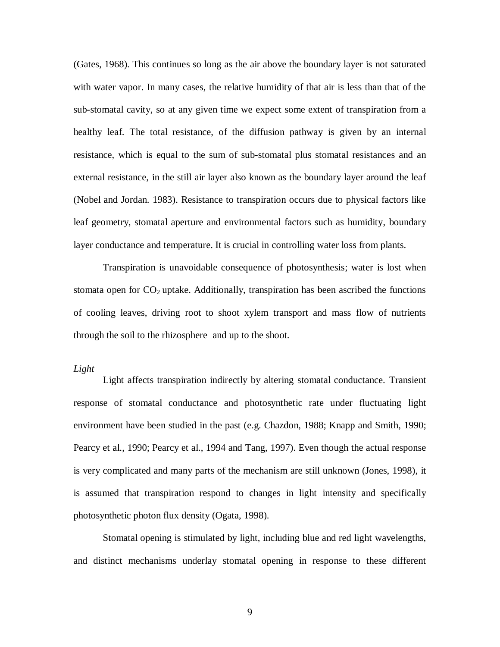(Gates, 1968). This continues so long as the air above the boundary layer is not saturated with water vapor. In many cases, the relative humidity of that air is less than that of the sub-stomatal cavity, so at any given time we expect some extent of transpiration from a healthy leaf. The total resistance, of the diffusion pathway is given by an internal resistance, which is equal to the sum of sub-stomatal plus stomatal resistances and an external resistance, in the still air layer also known as the boundary layer around the leaf (Nobel and Jordan. 1983). Resistance to transpiration occurs due to physical factors like leaf geometry, stomatal aperture and environmental factors such as humidity, boundary layer conductance and temperature. It is crucial in controlling water loss from plants.

Transpiration is unavoidable consequence of photosynthesis; water is lost when stomata open for  $CO<sub>2</sub>$  uptake. Additionally, transpiration has been ascribed the functions of cooling leaves, driving root to shoot xylem transport and mass flow of nutrients through the soil to the rhizosphere and up to the shoot.

# *Light*

Light affects transpiration indirectly by altering stomatal conductance. Transient response of stomatal conductance and photosynthetic rate under fluctuating light environment have been studied in the past (e.g. Chazdon, 1988; Knapp and Smith, 1990; Pearcy et al., 1990; Pearcy et al., 1994 and Tang, 1997). Even though the actual response is very complicated and many parts of the mechanism are still unknown (Jones, 1998), it is assumed that transpiration respond to changes in light intensity and specifically photosynthetic photon flux density (Ogata, 1998).

Stomatal opening is stimulated by light, including blue and red light wavelengths, and distinct mechanisms underlay stomatal opening in response to these different

9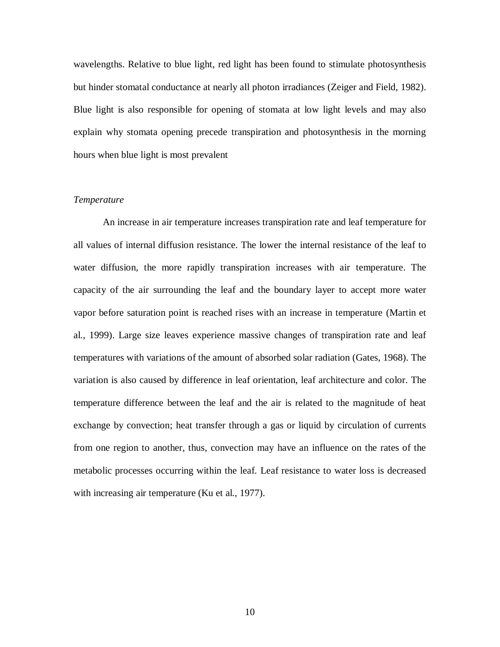wavelengths. Relative to blue light, red light has been found to stimulate photosynthesis but hinder stomatal conductance at nearly all photon irradiances (Zeiger and Field, 1982). Blue light is also responsible for opening of stomata at low light levels and may also explain why stomata opening precede transpiration and photosynthesis in the morning hours when blue light is most prevalent

# *Temperature*

An increase in air temperature increases transpiration rate and leaf temperature for all values of internal diffusion resistance. The lower the internal resistance of the leaf to water diffusion, the more rapidly transpiration increases with air temperature. The capacity of the air surrounding the leaf and the boundary layer to accept more water vapor before saturation point is reached rises with an increase in temperature (Martin et al., 1999). Large size leaves experience massive changes of transpiration rate and leaf temperatures with variations of the amount of absorbed solar radiation (Gates, 1968). The variation is also caused by difference in leaf orientation, leaf architecture and color. The temperature difference between the leaf and the air is related to the magnitude of heat exchange by convection; heat transfer through a gas or liquid by circulation of currents from one region to another, thus, convection may have an influence on the rates of the metabolic processes occurring within the leaf. Leaf resistance to water loss is decreased with increasing air temperature (Ku et al., 1977).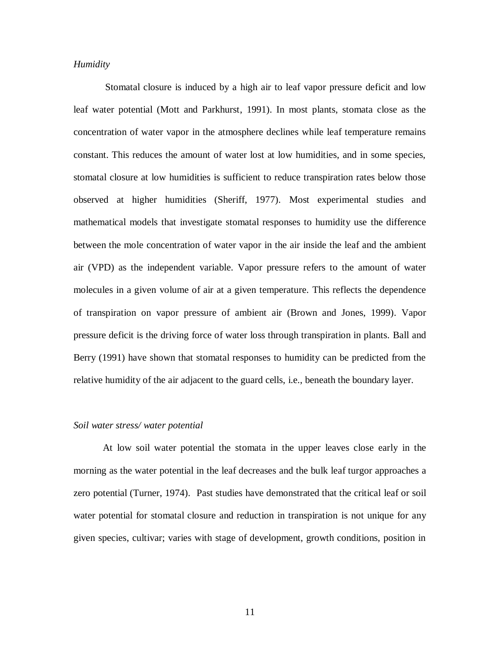# *Humidity*

Stomatal closure is induced by a high air to leaf vapor pressure deficit and low leaf water potential (Mott and Parkhurst, 1991). In most plants, stomata close as the concentration of water vapor in the atmosphere declines while leaf temperature remains constant. This reduces the amount of water lost at low humidities, and in some species, stomatal closure at low humidities is sufficient to reduce transpiration rates below those observed at higher humidities (Sheriff, 1977). Most experimental studies and mathematical models that investigate stomatal responses to humidity use the difference between the mole concentration of water vapor in the air inside the leaf and the ambient air (VPD) as the independent variable. Vapor pressure refers to the amount of water molecules in a given volume of air at a given temperature. This reflects the dependence of transpiration on vapor pressure of ambient air (Brown and Jones, 1999). Vapor pressure deficit is the driving force of water loss through transpiration in plants. Ball and Berry (1991) have shown that stomatal responses to humidity can be predicted from the relative humidity of the air adjacent to the guard cells, i.e., beneath the boundary layer.

#### *Soil water stress/ water potential*

At low soil water potential the stomata in the upper leaves close early in the morning as the water potential in the leaf decreases and the bulk leaf turgor approaches a zero potential (Turner, 1974). Past studies have demonstrated that the critical leaf or soil water potential for stomatal closure and reduction in transpiration is not unique for any given species, cultivar; varies with stage of development, growth conditions, position in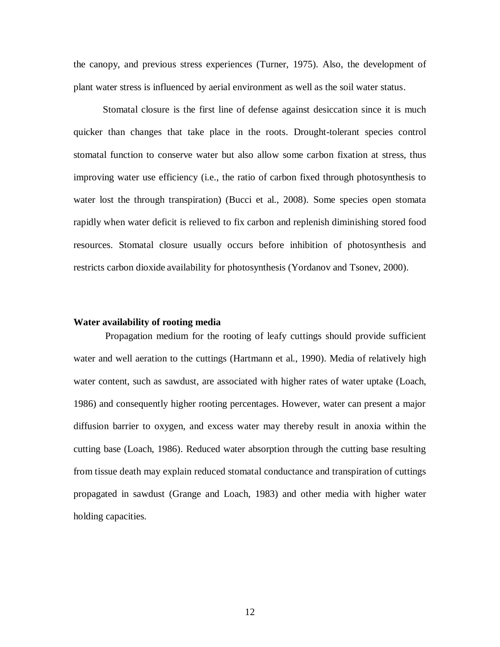the canopy, and previous stress experiences (Turner, 1975). Also, the development of plant water stress is influenced by aerial environment as well as the soil water status.

Stomatal closure is the first line of defense against desiccation since it is much quicker than changes that take place in the roots. Drought-tolerant species control stomatal function to conserve water but also allow some carbon fixation at stress, thus improving water use efficiency (i.e., the ratio of carbon fixed through photosynthesis to water lost the through transpiration) (Bucci et al., 2008). Some species open stomata rapidly when water deficit is relieved to fix carbon and replenish diminishing stored food resources. Stomatal closure usually occurs before inhibition of photosynthesis and restricts carbon dioxide availability for photosynthesis (Yordanov and Tsonev, 2000).

#### <span id="page-19-0"></span>**Water availability of rooting media**

Propagation medium for the rooting of leafy cuttings should provide sufficient water and well aeration to the cuttings (Hartmann et al., 1990). Media of relatively high water content, such as sawdust, are associated with higher rates of water uptake (Loach, 1986) and consequently higher rooting percentages. However, water can present a major diffusion barrier to oxygen, and excess water may thereby result in anoxia within the cutting base (Loach, 1986). Reduced water absorption through the cutting base resulting from tissue death may explain reduced stomatal conductance and transpiration of cuttings propagated in sawdust (Grange and Loach, 1983) and other media with higher water holding capacities.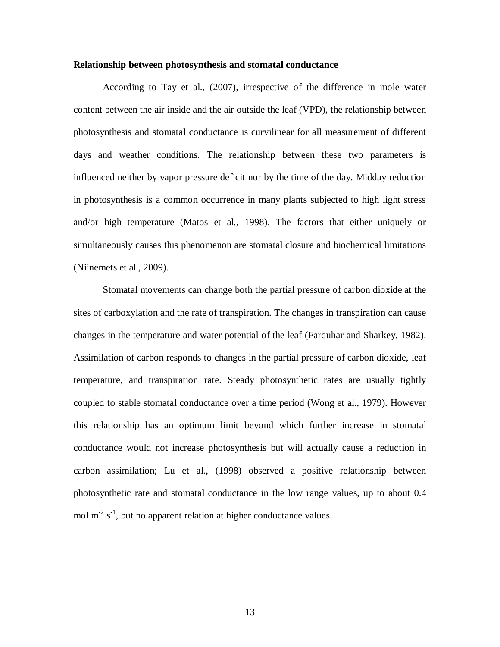#### <span id="page-20-0"></span>**Relationship between photosynthesis and stomatal conductance**

According to Tay et al., (2007), irrespective of the difference in mole water content between the air inside and the air outside the leaf (VPD), the relationship between photosynthesis and stomatal conductance is curvilinear for all measurement of different days and weather conditions. The relationship between these two parameters is influenced neither by vapor pressure deficit nor by the time of the day. Midday reduction in photosynthesis is a common occurrence in many plants subjected to high light stress and/or high temperature (Matos et al., 1998). The factors that either uniquely or simultaneously causes this phenomenon are stomatal closure and biochemical limitations (Niinemets et al., 2009).

Stomatal movements can change both the partial pressure of carbon dioxide at the sites of carboxylation and the rate of transpiration. The changes in transpiration can cause changes in the temperature and water potential of the leaf (Farquhar and Sharkey, 1982). Assimilation of carbon responds to changes in the partial pressure of carbon dioxide, leaf temperature, and transpiration rate. Steady photosynthetic rates are usually tightly coupled to stable stomatal conductance over a time period (Wong et al., 1979). However this relationship has an optimum limit beyond which further increase in stomatal conductance would not increase photosynthesis but will actually cause a reduction in carbon assimilation; Lu et al., (1998) observed a positive relationship between photosynthetic rate and stomatal conductance in the low range values, up to about 0.4 mol  $m^{-2}$  s<sup>-1</sup>, but no apparent relation at higher conductance values.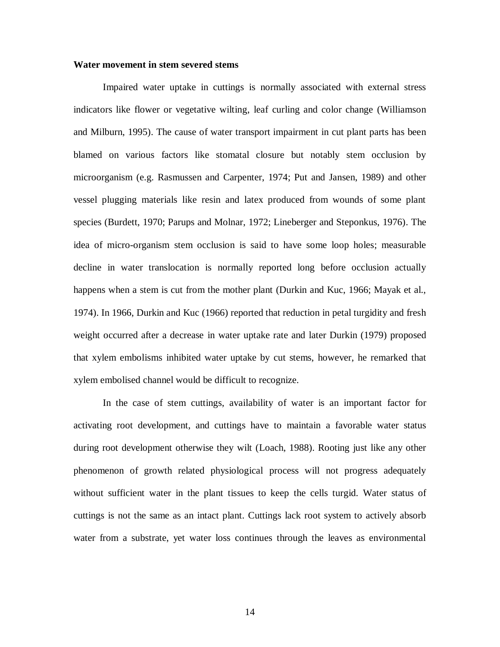## <span id="page-21-0"></span>**Water movement in stem severed stems**

Impaired water uptake in cuttings is normally associated with external stress indicators like flower or vegetative wilting, leaf curling and color change (Williamson and Milburn, 1995). The cause of water transport impairment in cut plant parts has been blamed on various factors like stomatal closure but notably stem occlusion by microorganism (e.g. Rasmussen and Carpenter, 1974; Put and Jansen, 1989) and other vessel plugging materials like resin and latex produced from wounds of some plant species (Burdett, 1970; Parups and Molnar, 1972; Lineberger and Steponkus, 1976). The idea of micro-organism stem occlusion is said to have some loop holes; measurable decline in water translocation is normally reported long before occlusion actually happens when a stem is cut from the mother plant (Durkin and Kuc, 1966; Mayak et al., 1974). In 1966, Durkin and Kuc (1966) reported that reduction in petal turgidity and fresh weight occurred after a decrease in water uptake rate and later Durkin (1979) proposed that xylem embolisms inhibited water uptake by cut stems, however, he remarked that xylem embolised channel would be difficult to recognize.

In the case of stem cuttings, availability of water is an important factor for activating root development, and cuttings have to maintain a favorable water status during root development otherwise they wilt (Loach, 1988). Rooting just like any other phenomenon of growth related physiological process will not progress adequately without sufficient water in the plant tissues to keep the cells turgid. Water status of cuttings is not the same as an intact plant. Cuttings lack root system to actively absorb water from a substrate, yet water loss continues through the leaves as environmental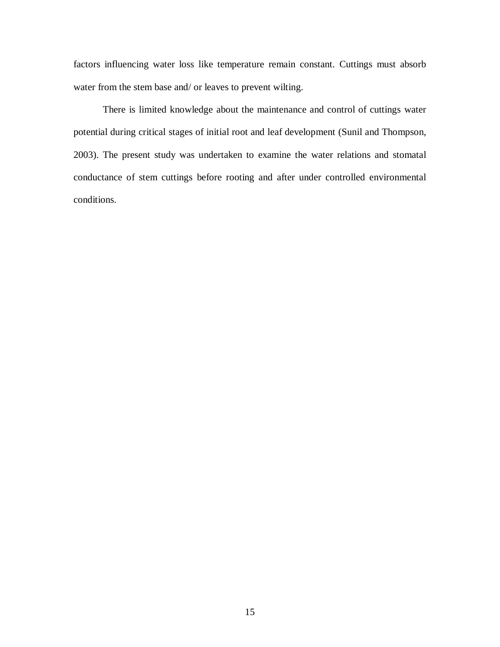factors influencing water loss like temperature remain constant. Cuttings must absorb water from the stem base and/ or leaves to prevent wilting.

<span id="page-22-0"></span>There is limited knowledge about the maintenance and control of cuttings water potential during critical stages of initial root and leaf development (Sunil and Thompson, 2003). The present study was undertaken to examine the water relations and stomatal conductance of stem cuttings before rooting and after under controlled environmental conditions.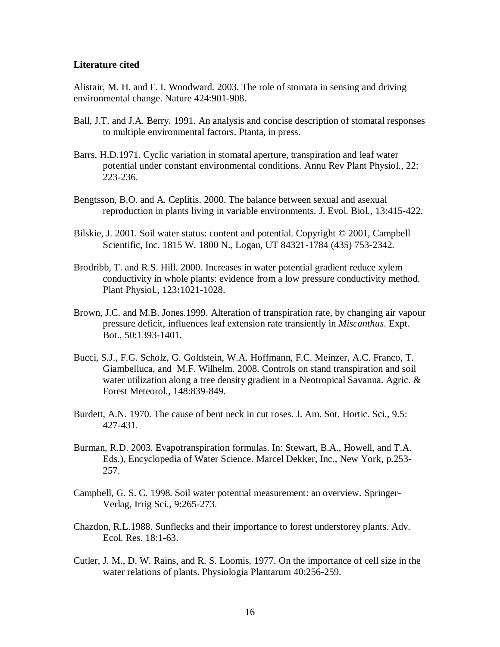# **Literature cited**

Alistair, M. H. and F. I. Woodward. 2003. The role of stomata in sensing and driving environmental change. Nature 424:901-908.

- Ball, J.T. and J.A. Berry. 1991. An analysis and concise description of stomatal responses to multiple environmental factors. Ptanta*,* in press.
- Barrs, H.D.1971. Cyclic variation in stomatal aperture, transpiration and leaf water potential under constant environmental conditions. Annu Rev Plant Physiol., 22: 223-236.
- Bengtsson, B.O. and A. Ceplitis. 2000. The balance between sexual and asexual reproduction in plants living in variable environments. J. Evol. Biol., 13:415-422.
- Bilskie, J. 2001. Soil water status: content and potential. Copyright © 2001, Campbell Scientific, Inc. 1815 W. 1800 N., Logan, UT 84321-1784 (435) 753-2342.
- Brodribb, T. and R.S. Hill. 2000. Increases in water potential gradient reduce xylem conductivity in whole plants: evidence from a low pressure conductivity method. Plant Physiol., 123**:**1021-1028.
- Brown, J.C. and M.B. Jones.1999. Alteration of transpiration rate, by changing air vapour pressure deficit, influences leaf extension rate transiently in *Miscanthus*. Expt. Bot., 50:1393-1401.
- Bucci, S.J., F.G. Scholz, G. Goldstein, W.A. Hoffmann, F.C. Meinzer, A.C. Franco, T. Giambelluca, and M.F. Wilhelm. 2008. Controls on stand transpiration and soil water utilization along a tree density gradient in a Neotropical Savanna. Agric. & Forest Meteorol., 148:839-849.
- Burdett, A.N. 1970. The cause of bent neck in cut roses. J. Am. Sot. Hortic. Sci., 9.5: 427-431.
- Burman, R.D. 2003. Evapotranspiration formulas. In: Stewart, B.A., Howell, and T.A. Eds.), Encyclopedia of Water Science. Marcel Dekker, Inc., New York, p.253- 257.
- Campbell, G. S. C. 1998. Soil water potential measurement: an overview. Springer-Verlag, Irrig Sci., 9:265-273.
- Chazdon, R.L.1988. Sunflecks and their importance to forest understorey plants. Adv. Ecol. Res. 18:1-63.
- Cutler, J. M., D. W. Rains, and R. S. Loomis. 1977. On the importance of cell size in the water relations of plants. Physiologia Plantarum 40:256-259.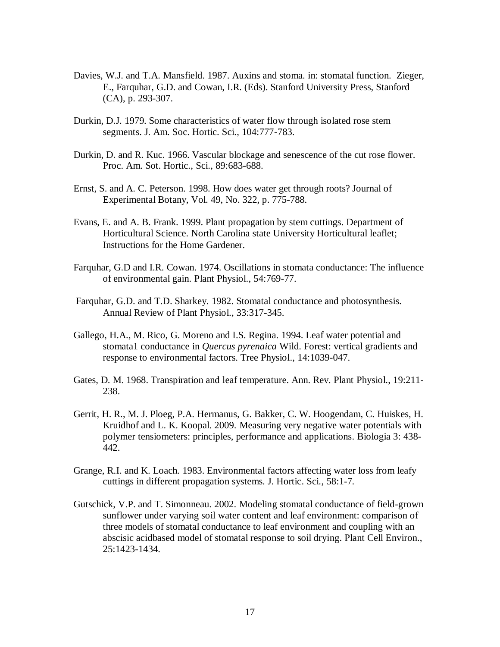- Davies, W.J. and T.A. Mansfield. 1987. Auxins and stoma. in: stomatal function. Zieger, E., Farquhar, G.D. and Cowan, I.R. (Eds). Stanford University Press, Stanford (CA), p. 293-307.
- Durkin, D.J. 1979. Some characteristics of water flow through isolated rose stem segments. J. Am. Soc. Hortic. Sci., 104:777-783.
- Durkin, D. and R. Kuc. 1966. Vascular blockage and senescence of the cut rose flower. Proc. Am. Sot. Hortic., Sci., 89:683-688.
- Ernst, S. and A. C. Peterson. 1998. How does water get through roots? Journal of Experimental Botany, Vol. 49, No. 322, p. 775-788.
- Evans, E. and A. B. Frank. 1999. Plant propagation by stem cuttings. Department of Horticultural Science. North Carolina state University Horticultural leaflet; Instructions for the Home Gardener.
- Farquhar, G.D and I.R. Cowan. 1974. Oscillations in stomata conductance: The influence of environmental gain. Plant Physiol., 54:769-77.
- Farquhar, G.D. and T.D. Sharkey. 1982. Stomatal conductance and photosynthesis. Annual Review of Plant Physiol., 33:317-345.
- Gallego, H.A., M. Rico, G. Moreno and I.S. Regina. 1994. Leaf water potential and stomata1 conductance in *Quercus pyrenaica* Wild. Forest: vertical gradients and response to environmental factors. Tree Physiol., 14:1039-047.
- Gates, D. M. 1968. Transpiration and leaf temperature. Ann. Rev. Plant Physiol., 19:211- 238.
- Gerrit, H. R., M. J. Ploeg, P.A. Hermanus, G. Bakker, C. W. Hoogendam, C. Huiskes, H. Kruidhof and L. K. Koopal. 2009. Measuring very negative water potentials with polymer tensiometers: principles, performance and applications. Biologia 3: 438- 442.
- Grange, R.I. and K. Loach. 1983. Environmental factors affecting water loss from leafy cuttings in different propagation systems. J. Hortic. Sci., 58:1-7.
- Gutschick, V.P. and T. Simonneau. 2002. Modeling stomatal conductance of field-grown sunflower under varying soil water content and leaf environment: comparison of three models of stomatal conductance to leaf environment and coupling with an abscisic acidbased model of stomatal response to soil drying. Plant Cell Environ., 25:1423-1434.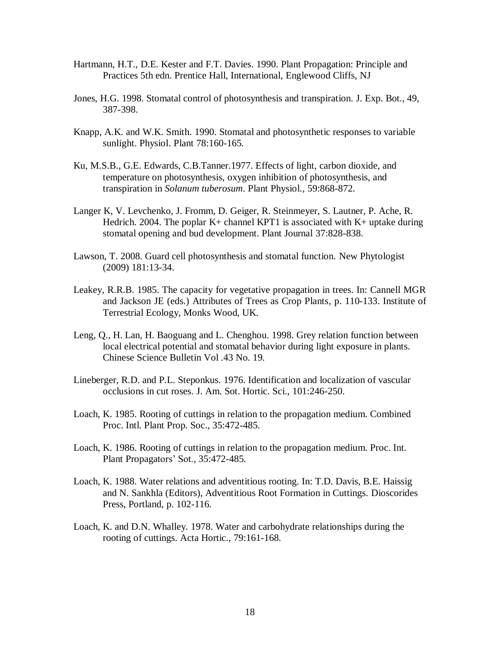- Hartmann, H.T., D.E. Kester and F.T. Davies. 1990. Plant Propagation: Principle and Practices 5th edn. Prentice Hall, International, Englewood Cliffs, NJ
- Jones, H.G. 1998. Stomatal control of photosynthesis and transpiration. J. Exp. Bot., 49, 387-398.
- Knapp, A.K. and W.K. Smith. 1990. Stomatal and photosynthetic responses to variable sunlight. Physiol. Plant 78:160-165.
- Ku, M.S.B., G.E. Edwards, C.B.Tanner.1977. Effects of light, carbon dioxide, and temperature on photosynthesis, oxygen inhibition of photosynthesis, and transpiration in *Solanum tuberosum*. Plant Physiol., 59:868-872.
- Langer K, V. Levchenko, J. Fromm, D. Geiger, R. Steinmeyer, S. Lautner, P. Ache, R. Hedrich. 2004. The poplar  $K<sub>+</sub>$  channel KPT1 is associated with  $K<sub>+</sub>$  uptake during stomatal opening and bud development. Plant Journal 37:828-838.
- Lawson, T. 2008. Guard cell photosynthesis and stomatal function. New Phytologist (2009) 181:13-34.
- Leakey, R.R.B. 1985. The capacity for vegetative propagation in trees. In: Cannell MGR and Jackson JE (eds.) Attributes of Trees as Crop Plants, p. 110-133. Institute of Terrestrial Ecology, Monks Wood, UK.
- Leng, Q., H. Lan, H. Baoguang and L. Chenghou. 1998. Grey relation function between local electrical potential and stomatal behavior during light exposure in plants. Chinese Science Bulletin Vol .43 No. 19.
- Lineberger, R.D. and P.L. Steponkus. 1976. Identification and localization of vascular occlusions in cut roses. J. Am. Sot. Hortic. Sci., 101:246-250.
- Loach, K. 1985. Rooting of cuttings in relation to the propagation medium. Combined Proc. Intl. Plant Prop. Soc., 35:472-485.
- Loach, K. 1986. Rooting of cuttings in relation to the propagation medium. Proc. Int. Plant Propagators' Sot., 35:472-485.
- Loach, K. 1988. Water relations and adventitious rooting. In: T.D. Davis, B.E. Haissig and N. Sankhla (Editors), Adventitious Root Formation in Cuttings. Dioscorides Press, Portland, p. 102-116.
- Loach, K. and D.N. Whalley. 1978. Water and carbohydrate relationships during the rooting of cuttings. Acta Hortic., 79:161-168.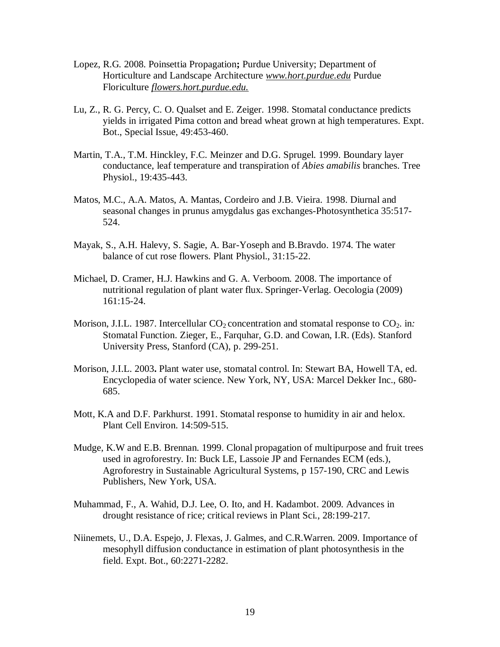- Lopez, R.G*.* 2008. Poinsettia Propagation**;** Purdue University; Department of Horticulture and Landscape Architecture *www.hort.purdue.edu* Purdue Floriculture *flowers.hort.purdue.edu.*
- Lu, Z., R. G. Percy, C. O. Qualset and E. Zeiger. 1998. Stomatal conductance predicts yields in irrigated Pima cotton and bread wheat grown at high temperatures. Expt. Bot., Special Issue, 49:453-460.
- Martin, T.A., T.M. Hinckley, F.C. Meinzer and D.G. Sprugel. 1999. Boundary layer conductance, leaf temperature and transpiration of *Abies amabilis* branches. Tree Physiol., 19:435-443.
- Matos, M.C., A.A. Matos, A. Mantas, Cordeiro and J.B. Vieira. 1998. Diurnal and seasonal changes in prunus amygdalus gas exchanges-Photosynthetica 35:517- 524.
- Mayak, S., A.H. Halevy, S. Sagie, A. Bar-Yoseph and B.Bravdo. 1974. The water balance of cut rose flowers. Plant Physiol., 31:15-22.
- Michael, D. Cramer, H.J. Hawkins and G. A. Verboom. 2008. The importance of nutritional regulation of plant water flux. Springer-Verlag. Oecologia (2009) 161:15-24.
- Morison, J.I.L. 1987. Intercellular  $CO_2$  concentration and stomatal response to  $CO_2$ . in: Stomatal Function. Zieger, E., Farquhar, G.D. and Cowan, I.R. (Eds). Stanford University Press, Stanford (CA), p. 299-251.
- Morison, J.I.L. 2003**.** Plant water use, stomatal control. In: Stewart BA, Howell TA, ed. Encyclopedia of water science. New York, NY, USA: Marcel Dekker Inc., 680- 685.
- Mott, K.A and D.F. Parkhurst. 1991. Stomatal response to humidity in air and helox. Plant Cell Environ. 14:509-515.
- Mudge, K.W and E.B. Brennan. 1999. Clonal propagation of multipurpose and fruit trees used in agroforestry. In: Buck LE, Lassoie JP and Fernandes ECM (eds.), Agroforestry in Sustainable Agricultural Systems, p 157-190, CRC and Lewis Publishers, New York, USA.
- Muhammad, F., A. Wahid, D.J. Lee, O. Ito, and H. Kadambot. 2009. Advances in drought resistance of rice; critical reviews in Plant Sci., 28:199-217.
- Niinemets, U., D.A. Espejo, J. Flexas, J. Galmes, and C.R.Warren. 2009. Importance of mesophyll diffusion conductance in estimation of plant photosynthesis in the field. Expt. Bot., 60:2271-2282.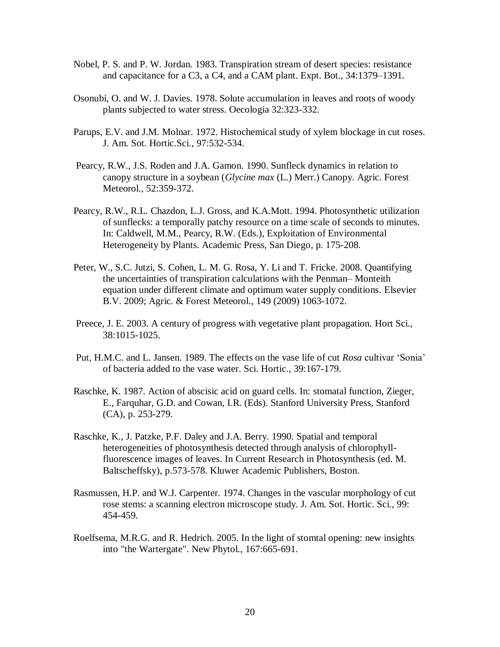- Nobel, P. S. and P. W. Jordan. 1983. Transpiration stream of desert species: resistance and capacitance for a C3, a C4, and a CAM plant. Expt. Bot., 34:1379–1391.
- Osonubi, O. and W. J. Davies. 1978. Solute accumulation in leaves and roots of woody plants subjected to water stress. Oecologia 32:323-332.
- Parups, E.V. and J.M. Molnar. 1972. Histochemical study of xylem blockage in cut roses. J. Am. Sot. Hortic.Sci., 97:532-534.
- Pearcy, R.W., J.S. Roden and J.A. Gamon. 1990. Sunfleck dynamics in relation to canopy structure in a soybean (*Glycine max* (L.) Merr.) Canopy. Agric. Forest Meteorol., 52:359-372.
- Pearcy, R.W., R.L. Chazdon, L.J. Gross, and K.A.Mott. 1994. Photosynthetic utilization of sunflecks: a temporally patchy resource on a time scale of seconds to minutes. In: Caldwell, M.M., Pearcy, R.W. (Eds.), Exploitation of Environmental Heterogeneity by Plants. Academic Press, San Diego, p. 175-208.
- Peter, W., S.C. Jutzi, S. Cohen, L. M. G. Rosa, Y. Li and T. Fricke. 2008. Quantifying the uncertainties of transpiration calculations with the Penman– Monteith equation under different climate and optimum water supply conditions. Elsevier B.V. 2009; Agric. & Forest Meteorol., 149 (2009) 1063-1072.
- Preece, J. E. 2003. A century of progress with vegetative plant propagation. Hort Sci., 38:1015-1025.
- Put, H.M.C. and L. Jansen. 1989. The effects on the vase life of cut *Rosa* cultivar 'Sonia' of bacteria added to the vase water. Sci. Hortic., 39:167-179.
- Raschke, K. 1987. Action of abscisic acid on guard cells. In: stomatal function, Zieger, E., Farquhar, G.D. and Cowan, I.R. (Eds). Stanford University Press, Stanford (CA), p. 253-279.
- Raschke, K., J. Patzke, P.F. Daley and J.A. Berry. 1990. Spatial and temporal heterogeneities of photosynthesis detected through analysis of chlorophyllfluorescence images of leaves. In Current Research in Photosynthesis (ed. M. Baltscheffsky), p.573-578. Kluwer Academic Publishers, Boston.
- Rasmussen, H.P. and W.J. Carpenter. 1974. Changes in the vascular morphology of cut rose stems: a scanning electron microscope study. J. Am. Sot. Hortic. Sci., 99: 454-459.
- Roelfsema, M.R.G. and R. Hedrich. 2005. In the light of stomtal opening: new insights into "the Wartergate". New Phytol., 167:665-691.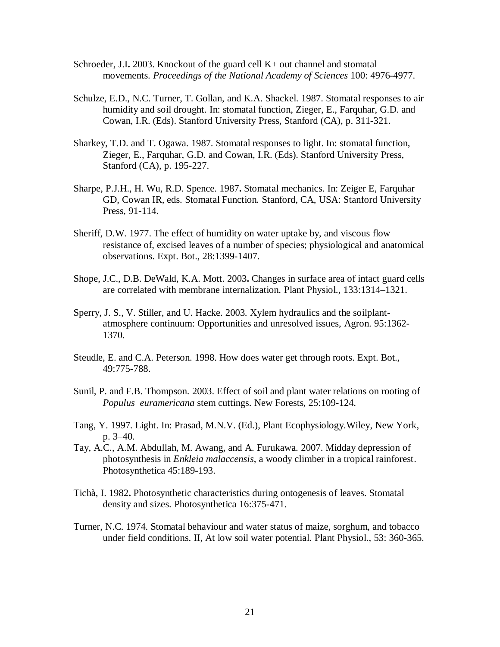- Schroeder, J.I**.** 2003. Knockout of the guard cell K+ out channel and stomatal movements. *Proceedings of the National Academy of Sciences* 100: 4976-4977.
- Schulze, E.D., N.C. Turner, T. Gollan, and K.A. Shackel. 1987. Stomatal responses to air humidity and soil drought. In: stomatal function, Zieger, E., Farquhar, G.D. and Cowan, I.R. (Eds). Stanford University Press, Stanford (CA), p. 311-321.
- Sharkey, T.D. and T. Ogawa. 1987. Stomatal responses to light. In: stomatal function, Zieger, E., Farquhar, G.D. and Cowan, I.R. (Eds). Stanford University Press, Stanford (CA), p. 195-227.
- Sharpe, P.J.H., H. Wu, R.D. Spence. 1987**.** Stomatal mechanics. In: Zeiger E, Farquhar GD, Cowan IR, eds. Stomatal Function*.* Stanford, CA, USA: Stanford University Press, 91-114.
- Sheriff, D.W. 1977. The effect of humidity on water uptake by, and viscous flow resistance of, excised leaves of a number of species; physiological and anatomical observations. Expt. Bot., 28:1399-1407.
- Shope, J.C., D.B. DeWald, K.A. Mott. 2003**.** Changes in surface area of intact guard cells are correlated with membrane internalization. Plant Physiol., 133:1314–1321.
- Sperry, J. S., V. Stiller, and U. Hacke. 2003. Xylem hydraulics and the soilplantatmosphere continuum: Opportunities and unresolved issues, Agron. 95:1362- 1370.
- Steudle, E. and C.A. Peterson. 1998. How does water get through roots. Expt. Bot., 49:775-788.
- Sunil, P. and F.B. Thompson. 2003. Effect of soil and plant water relations on rooting of *Populus euramericana* stem cuttings. New Forests, 25:109**-**124.
- Tang, Y. 1997. Light. In: Prasad, M.N.V. (Ed.), Plant Ecophysiology.Wiley, New York, p. 3–40.
- Tay, A.C., A.M. Abdullah, M. Awang, and A. Furukawa. 2007. Midday depression of photosynthesis in *Enkleia malaccensis*, a woody climber in a tropical rainforest. Photosynthetica 45:189**-**193.
- Tichà, I. 1982**.** Photosynthetic characteristics during ontogenesis of leaves. Stomatal density and sizes. Photosynthetica 16:375-471.
- Turner, N.C. 1974. Stomatal behaviour and water status of maize, sorghum, and tobacco under field conditions. II, At low soil water potential. Plant Physiol., 53: 360-365.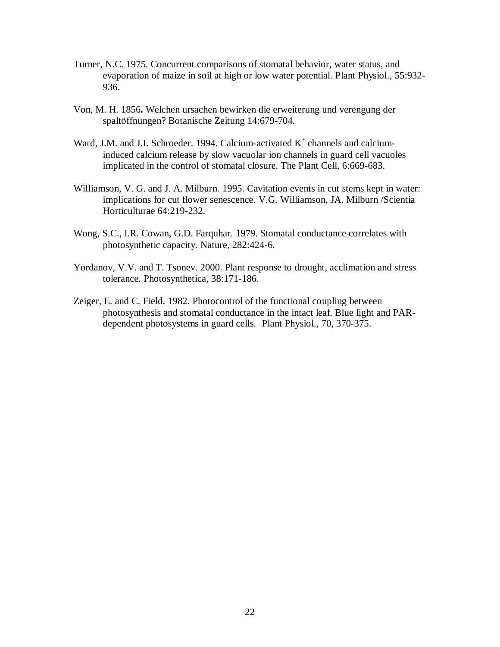- Turner, N.C. 1975. Concurrent comparisons of stomatal behavior, water status, and evaporation of maize in soil at high or low water potential. Plant Physiol., 55:932- 936.
- Von, M. H. 1856**.** Welchen ursachen bewirken die erweiterung und verengung der spaltöffnungen? Botanische Zeitung 14:679-704.
- Ward, J.M. and J.I. Schroeder. 1994. Calcium-activated  $K^+$  channels and calciuminduced calcium release by slow vacuolar ion channels in guard cell vacuoles implicated in the control of stomatal closure. The Plant Cell, 6:669-683.
- Williamson, V. G. and J. A. Milburn. 1995. Cavitation events in cut stems kept in water: implications for cut flower senescence. V.G. Williamson, JA. Milburn /Scientia Horticulturae 64:219-232.
- Wong, S.C., I.R. Cowan, G.D. Farquhar. 1979. Stomatal conductance correlates with photosynthetic capacity. Nature, 282:424-6.
- Yordanov, V.V. and T. Tsonev. 2000. Plant response to drought, acclimation and stress tolerance. Photosynthetica, 38:171-186.
- Zeiger, E. and C. Field. 1982. Photocontrol of the functional coupling between photosynthesis and stomatal conductance in the intact leaf. Blue light and PARdependent photosystems in guard cells. Plant Physiol., 70, 370-375.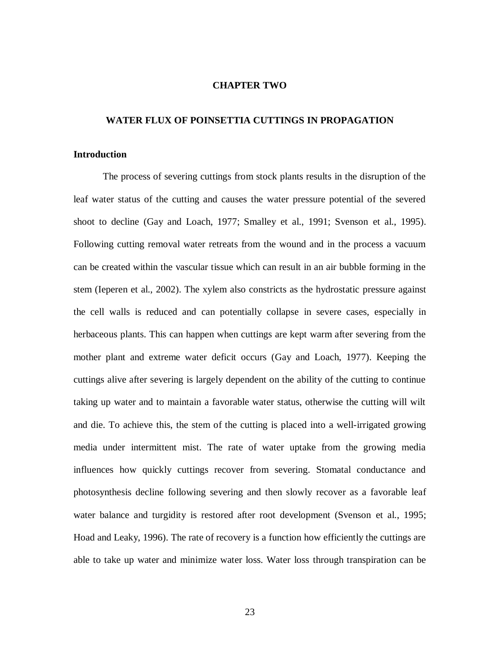# **CHAPTER TWO**

#### <span id="page-30-0"></span>**WATER FLUX OF POINSETTIA CUTTINGS IN PROPAGATION**

### <span id="page-30-1"></span>**Introduction**

The process of severing cuttings from stock plants results in the disruption of the leaf water status of the cutting and causes the water pressure potential of the severed shoot to decline (Gay and Loach, 1977; Smalley et al., 1991; Svenson et al., 1995). Following cutting removal water retreats from the wound and in the process a vacuum can be created within the vascular tissue which can result in an air bubble forming in the stem (Ieperen et al., 2002). The xylem also constricts as the hydrostatic pressure against the cell walls is reduced and can potentially collapse in severe cases, especially in herbaceous plants. This can happen when cuttings are kept warm after severing from the mother plant and extreme water deficit occurs (Gay and Loach, 1977). Keeping the cuttings alive after severing is largely dependent on the ability of the cutting to continue taking up water and to maintain a favorable water status, otherwise the cutting will wilt and die. To achieve this, the stem of the cutting is placed into a well-irrigated growing media under intermittent mist. The rate of water uptake from the growing media influences how quickly cuttings recover from severing. Stomatal conductance and photosynthesis decline following severing and then slowly recover as a favorable leaf water balance and turgidity is restored after root development (Svenson et al., 1995; Hoad and Leaky, 1996). The rate of recovery is a function how efficiently the cuttings are able to take up water and minimize water loss. Water loss through transpiration can be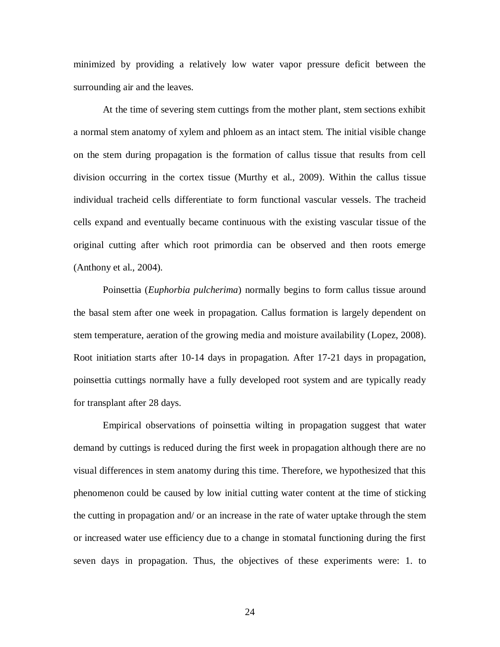minimized by providing a relatively low water vapor pressure deficit between the surrounding air and the leaves.

At the time of severing stem cuttings from the mother plant, stem sections exhibit a normal stem anatomy of xylem and phloem as an intact stem. The initial visible change on the stem during propagation is the formation of callus tissue that results from cell division occurring in the cortex tissue (Murthy et al., 2009). Within the callus tissue individual tracheid cells differentiate to form functional vascular vessels. The tracheid cells expand and eventually became continuous with the existing vascular tissue of the original cutting after which root primordia can be observed and then roots emerge (Anthony et al., 2004).

Poinsettia (*Euphorbia pulcherima*) normally begins to form callus tissue around the basal stem after one week in propagation. Callus formation is largely dependent on stem temperature, aeration of the growing media and moisture availability (Lopez, 2008). Root initiation starts after 10-14 days in propagation. After 17-21 days in propagation, poinsettia cuttings normally have a fully developed root system and are typically ready for transplant after 28 days.

Empirical observations of poinsettia wilting in propagation suggest that water demand by cuttings is reduced during the first week in propagation although there are no visual differences in stem anatomy during this time. Therefore, we hypothesized that this phenomenon could be caused by low initial cutting water content at the time of sticking the cutting in propagation and/ or an increase in the rate of water uptake through the stem or increased water use efficiency due to a change in stomatal functioning during the first seven days in propagation. Thus, the objectives of these experiments were: 1. to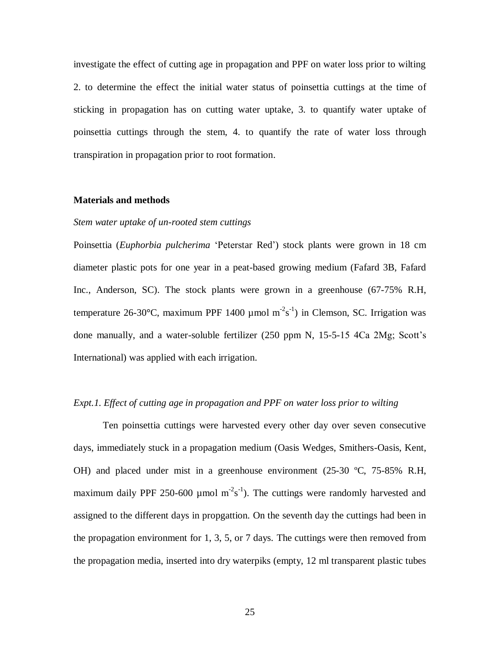investigate the effect of cutting age in propagation and PPF on water loss prior to wilting 2. to determine the effect the initial water status of poinsettia cuttings at the time of sticking in propagation has on cutting water uptake, 3. to quantify water uptake of poinsettia cuttings through the stem, 4. to quantify the rate of water loss through transpiration in propagation prior to root formation.

### <span id="page-32-0"></span>**Materials and methods**

# *Stem water uptake of un-rooted stem cuttings*

Poinsettia (*Euphorbia pulcherima* 'Peterstar Red') stock plants were grown in 18 cm diameter plastic pots for one year in a peat-based growing medium (Fafard 3B, Fafard Inc., Anderson, SC). The stock plants were grown in a greenhouse (67-75% R.H, temperature 26-30°C, maximum PPF 1400  $\mu$ mol m<sup>-2</sup>s<sup>-1</sup>) in Clemson, SC. Irrigation was done manually, and a water-soluble fertilizer (250 ppm N, 15-5-15 4Ca 2Mg; Scott's International) was applied with each irrigation.

#### *Expt.1. Effect of cutting age in propagation and PPF on water loss prior to wilting*

Ten poinsettia cuttings were harvested every other day over seven consecutive days, immediately stuck in a propagation medium (Oasis Wedges, Smithers-Oasis, Kent, OH) and placed under mist in a greenhouse environment (25-30 ºC, 75-85% R.H, maximum daily PPF 250-600 µmol  $m^2s^{-1}$ ). The cuttings were randomly harvested and assigned to the different days in propgattion. On the seventh day the cuttings had been in the propagation environment for 1, 3, 5, or 7 days. The cuttings were then removed from the propagation media, inserted into dry waterpiks (empty, 12 ml transparent plastic tubes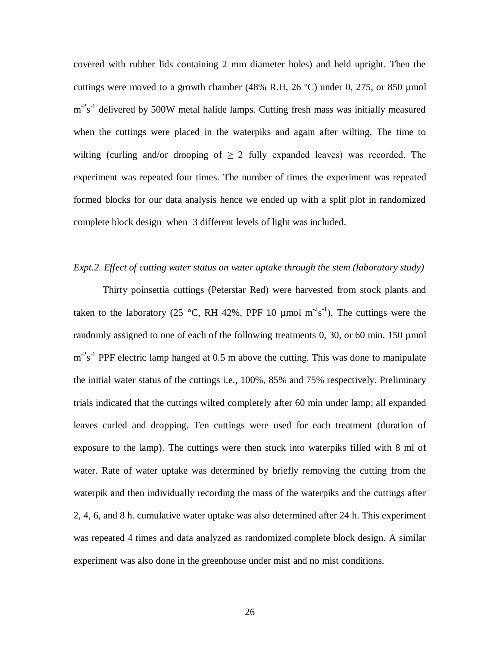covered with rubber lids containing 2 mm diameter holes) and held upright. Then the cuttings were moved to a growth chamber (48% R.H, 26  $^{\circ}$ C) under 0, 275, or 850 µmol  $m<sup>2</sup>s<sup>-1</sup>$  delivered by 500W metal halide lamps. Cutting fresh mass was initially measured when the cuttings were placed in the waterpiks and again after wilting. The time to wilting (curling and/or drooping of  $\geq 2$  fully expanded leaves) was recorded. The experiment was repeated four times. The number of times the experiment was repeated formed blocks for our data analysis hence we ended up with a split plot in randomized complete block design when 3 different levels of light was included.

# *Expt.2. Effect of cutting water status on water uptake through the stem (laboratory study)*

Thirty poinsettia cuttings (Peterstar Red) were harvested from stock plants and taken to the laboratory (25 °C, RH 42%, PPF 10  $\mu$ mol m<sup>-2</sup>s<sup>-1</sup>). The cuttings were the randomly assigned to one of each of the following treatments 0, 30, or 60 min. 150 µmol  $m<sup>2</sup>s<sup>-1</sup>$  PPF electric lamp hanged at 0.5 m above the cutting. This was done to manipulate the initial water status of the cuttings i.e., 100%, 85% and 75% respectively. Preliminary trials indicated that the cuttings wilted completely after 60 min under lamp; all expanded leaves curled and dropping. Ten cuttings were used for each treatment (duration of exposure to the lamp). The cuttings were then stuck into waterpiks filled with 8 ml of water. Rate of water uptake was determined by briefly removing the cutting from the waterpik and then individually recording the mass of the waterpiks and the cuttings after 2, 4, 6, and 8 h. cumulative water uptake was also determined after 24 h. This experiment was repeated 4 times and data analyzed as randomized complete block design. A similar experiment was also done in the greenhouse under mist and no mist conditions.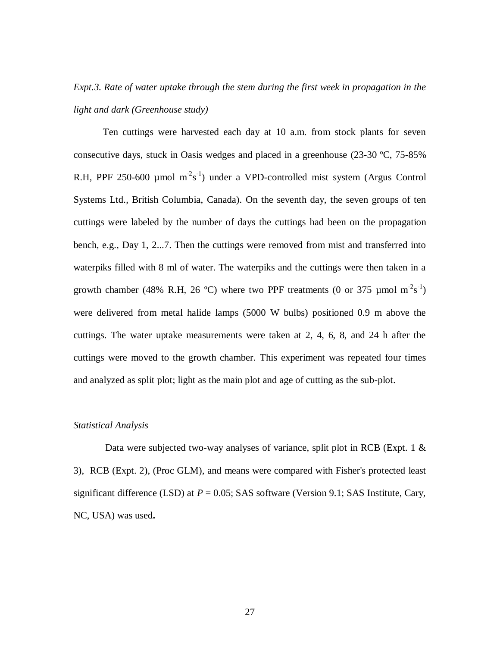# *Expt.3. Rate of water uptake through the stem during the first week in propagation in the light and dark (Greenhouse study)*

Ten cuttings were harvested each day at 10 a.m. from stock plants for seven consecutive days, stuck in Oasis wedges and placed in a greenhouse (23-30 ºC, 75-85% R.H, PPF 250-600 µmol  $m^2s^{-1}$ ) under a VPD-controlled mist system (Argus Control Systems Ltd., British Columbia, Canada). On the seventh day, the seven groups of ten cuttings were labeled by the number of days the cuttings had been on the propagation bench, e.g., Day 1, 2...7. Then the cuttings were removed from mist and transferred into waterpiks filled with 8 ml of water. The waterpiks and the cuttings were then taken in a growth chamber (48% R.H, 26 °C) where two PPF treatments (0 or 375 µmol  $m^2s^{-1}$ ) were delivered from metal halide lamps (5000 W bulbs) positioned 0.9 m above the cuttings. The water uptake measurements were taken at 2, 4, 6, 8, and 24 h after the cuttings were moved to the growth chamber. This experiment was repeated four times and analyzed as split plot; light as the main plot and age of cutting as the sub-plot.

#### *Statistical Analysis*

Data were subjected two-way analyses of variance, split plot in RCB (Expt. 1 & 3), RCB (Expt. 2), (Proc GLM), and means were compared with Fisher's protected least significant difference (LSD) at  $P = 0.05$ ; SAS software (Version 9.1; SAS Institute, Cary, NC, USA) was used**.**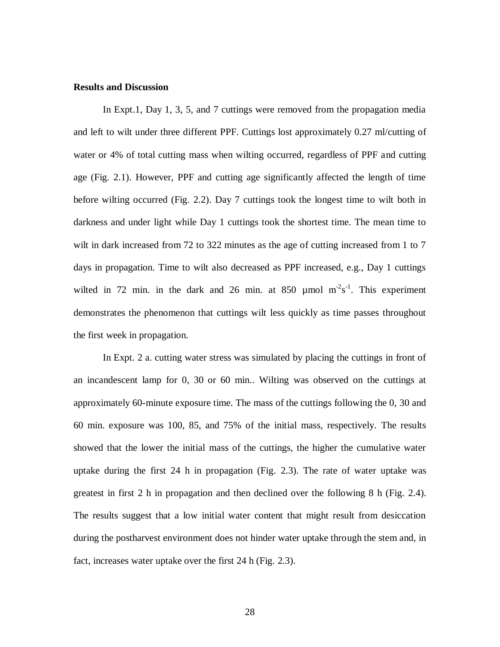#### <span id="page-35-0"></span>**Results and Discussion**

In Expt.1, Day 1, 3, 5, and 7 cuttings were removed from the propagation media and left to wilt under three different PPF. Cuttings lost approximately 0.27 ml/cutting of water or 4% of total cutting mass when wilting occurred, regardless of PPF and cutting age (Fig. 2.1). However, PPF and cutting age significantly affected the length of time before wilting occurred (Fig. 2.2). Day 7 cuttings took the longest time to wilt both in darkness and under light while Day 1 cuttings took the shortest time. The mean time to wilt in dark increased from 72 to 322 minutes as the age of cutting increased from 1 to 7 days in propagation. Time to wilt also decreased as PPF increased, e.g., Day 1 cuttings wilted in 72 min. in the dark and 26 min. at 850  $\mu$ mol m<sup>-2</sup>s<sup>-1</sup>. This experiment demonstrates the phenomenon that cuttings wilt less quickly as time passes throughout the first week in propagation.

In Expt. 2 a. cutting water stress was simulated by placing the cuttings in front of an incandescent lamp for 0, 30 or 60 min.. Wilting was observed on the cuttings at approximately 60-minute exposure time. The mass of the cuttings following the 0, 30 and 60 min. exposure was 100, 85, and 75% of the initial mass, respectively. The results showed that the lower the initial mass of the cuttings, the higher the cumulative water uptake during the first 24 h in propagation (Fig. 2.3). The rate of water uptake was greatest in first 2 h in propagation and then declined over the following 8 h (Fig. 2.4). The results suggest that a low initial water content that might result from desiccation during the postharvest environment does not hinder water uptake through the stem and, in fact, increases water uptake over the first 24 h (Fig. 2.3).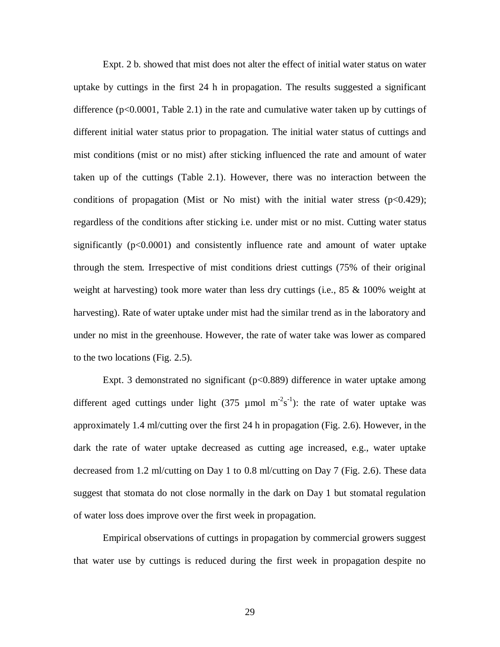Expt. 2 b. showed that mist does not alter the effect of initial water status on water uptake by cuttings in the first 24 h in propagation. The results suggested a significant difference ( $p<0.0001$ , Table 2.1) in the rate and cumulative water taken up by cuttings of different initial water status prior to propagation. The initial water status of cuttings and mist conditions (mist or no mist) after sticking influenced the rate and amount of water taken up of the cuttings (Table 2.1). However, there was no interaction between the conditions of propagation (Mist or No mist) with the initial water stress  $(p<0.429)$ ; regardless of the conditions after sticking i.e. under mist or no mist. Cutting water status significantly (p<0.0001) and consistently influence rate and amount of water uptake through the stem. Irrespective of mist conditions driest cuttings (75% of their original weight at harvesting) took more water than less dry cuttings (i.e.,  $85 \& 100\%$  weight at harvesting). Rate of water uptake under mist had the similar trend as in the laboratory and under no mist in the greenhouse. However, the rate of water take was lower as compared to the two locations (Fig. 2.5).

Expt. 3 demonstrated no significant (p<0.889) difference in water uptake among different aged cuttings under light  $(375 \text{ \mu mol m}^2 \text{s}^{-1})$ : the rate of water uptake was approximately 1.4 ml/cutting over the first 24 h in propagation (Fig. 2.6). However, in the dark the rate of water uptake decreased as cutting age increased, e.g., water uptake decreased from 1.2 ml/cutting on Day 1 to 0.8 ml/cutting on Day 7 (Fig. 2.6). These data suggest that stomata do not close normally in the dark on Day 1 but stomatal regulation of water loss does improve over the first week in propagation.

Empirical observations of cuttings in propagation by commercial growers suggest that water use by cuttings is reduced during the first week in propagation despite no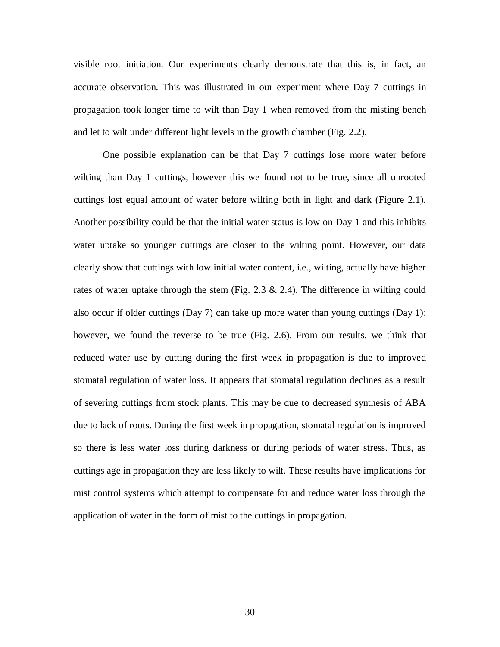visible root initiation. Our experiments clearly demonstrate that this is, in fact, an accurate observation. This was illustrated in our experiment where Day 7 cuttings in propagation took longer time to wilt than Day 1 when removed from the misting bench and let to wilt under different light levels in the growth chamber (Fig. 2.2).

One possible explanation can be that Day 7 cuttings lose more water before wilting than Day 1 cuttings, however this we found not to be true, since all unrooted cuttings lost equal amount of water before wilting both in light and dark (Figure 2.1). Another possibility could be that the initial water status is low on Day 1 and this inhibits water uptake so younger cuttings are closer to the wilting point. However, our data clearly show that cuttings with low initial water content, i.e., wilting, actually have higher rates of water uptake through the stem (Fig. 2.3  $\&$  2.4). The difference in wilting could also occur if older cuttings (Day 7) can take up more water than young cuttings (Day 1); however, we found the reverse to be true (Fig. 2.6). From our results, we think that reduced water use by cutting during the first week in propagation is due to improved stomatal regulation of water loss. It appears that stomatal regulation declines as a result of severing cuttings from stock plants. This may be due to decreased synthesis of ABA due to lack of roots. During the first week in propagation, stomatal regulation is improved so there is less water loss during darkness or during periods of water stress. Thus, as cuttings age in propagation they are less likely to wilt. These results have implications for mist control systems which attempt to compensate for and reduce water loss through the application of water in the form of mist to the cuttings in propagation.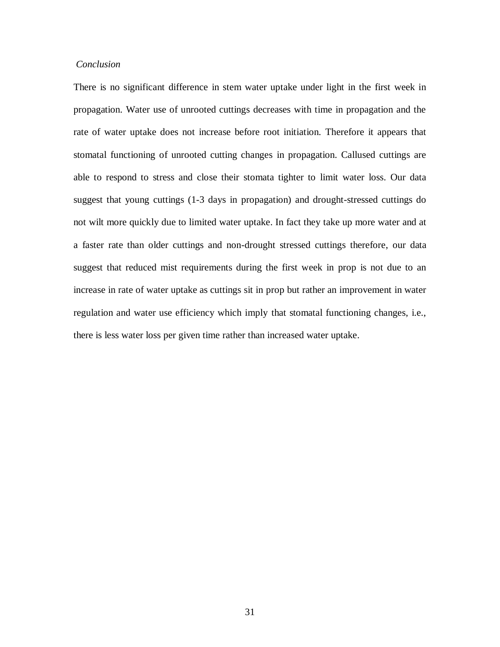# *Conclusion*

There is no significant difference in stem water uptake under light in the first week in propagation. Water use of unrooted cuttings decreases with time in propagation and the rate of water uptake does not increase before root initiation. Therefore it appears that stomatal functioning of unrooted cutting changes in propagation. Callused cuttings are able to respond to stress and close their stomata tighter to limit water loss. Our data suggest that young cuttings (1-3 days in propagation) and drought-stressed cuttings do not wilt more quickly due to limited water uptake. In fact they take up more water and at a faster rate than older cuttings and non-drought stressed cuttings therefore, our data suggest that reduced mist requirements during the first week in prop is not due to an increase in rate of water uptake as cuttings sit in prop but rather an improvement in water regulation and water use efficiency which imply that stomatal functioning changes, i.e., there is less water loss per given time rather than increased water uptake.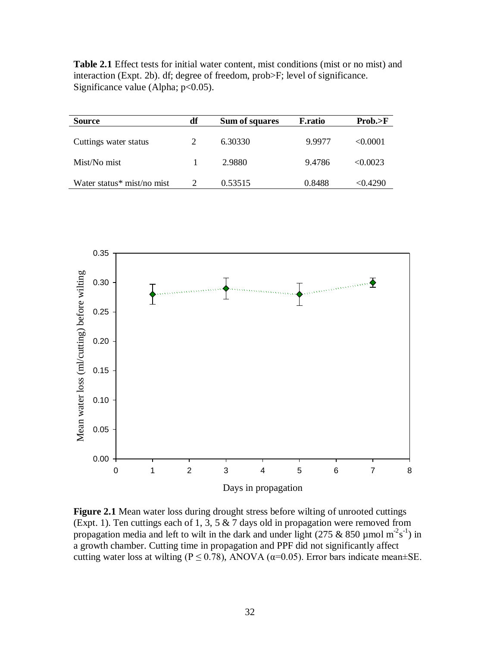**Table 2.1** Effect tests for initial water content, mist conditions (mist or no mist) and interaction (Expt. 2b). df; degree of freedom, prob>F; level of significance. Significance value (Alpha;  $p<0.05$ ).

| <b>Source</b>              | df | Sum of squares | <b>F.ratio</b> | Prob. > F |
|----------------------------|----|----------------|----------------|-----------|
| Cuttings water status      |    | 6.30330        | 9.9977         | < 0.0001  |
| Mist/No mist               |    | 2.9880         | 9.4786         | < 0.0023  |
| Water status* mist/no mist |    | 0.53515        | 0.8488         | < 0.4290  |



**Figure 2.1** Mean water loss during drought stress before wilting of unrooted cuttings (Expt. 1). Ten cuttings each of 1, 3, 5  $\&$  7 days old in propagation were removed from propagation media and left to wilt in the dark and under light (275 & 850 µmol m<sup>-2</sup>s<sup>-1</sup>) in a growth chamber. Cutting time in propagation and PPF did not significantly affect cutting water loss at wilting ( $P \le 0.78$ ), ANOVA ( $\alpha$ =0.05). Error bars indicate mean±SE.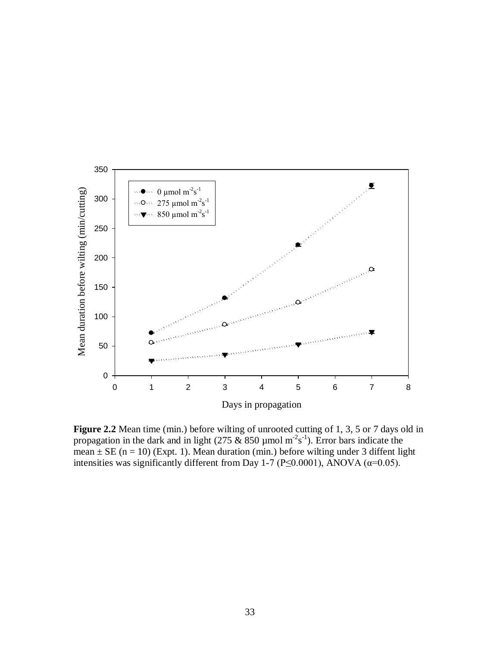

Figure 2.2 Mean time (min.) before wilting of unrooted cutting of 1, 3, 5 or 7 days old in propagation in the dark and in light (275 & 850 µmol m<sup>-2</sup>s<sup>-1</sup>). Error bars indicate the mean  $\pm$  SE (n = 10) (Expt. 1). Mean duration (min.) before wilting under 3 diffent light intensities was significantly different from Day 1-7 (P≤0.0001), ANOVA ( $\alpha$ =0.05).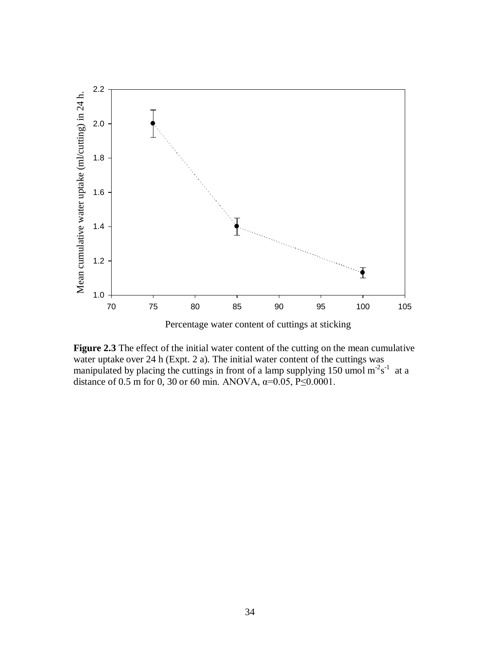

Figure 2.3 The effect of the initial water content of the cutting on the mean cumulative water uptake over 24 h (Expt. 2 a). The initial water content of the cuttings was manipulated by placing the cuttings in front of a lamp supplying 150 umol  $m^2s^{-1}$  at a distance of 0.5 m for 0, 30 or 60 min. ANOVA,  $\alpha$ =0.05, P≤0.0001.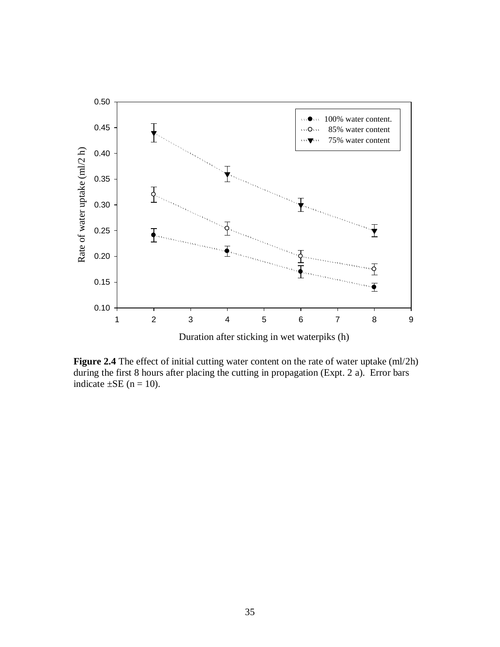

**Figure 2.4** The effect of initial cutting water content on the rate of water uptake (ml/2h) during the first 8 hours after placing the cutting in propagation (Expt. 2 a). Error bars indicate  $\pm$ SE (n = 10).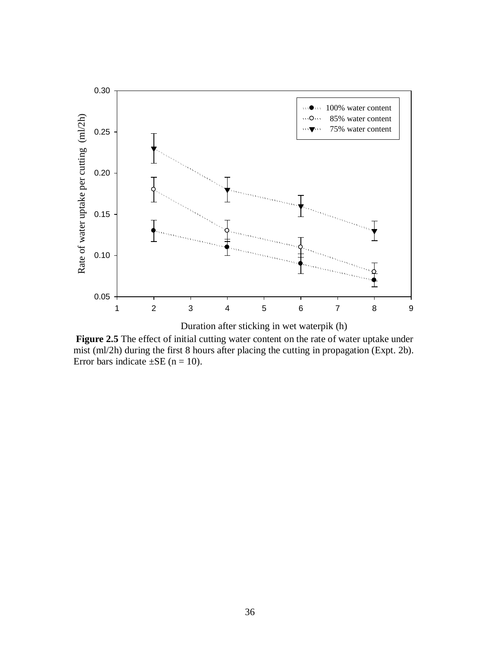

**Figure 2.5** The effect of initial cutting water content on the rate of water uptake under mist (ml/2h) during the first 8 hours after placing the cutting in propagation (Expt. 2b). Error bars indicate  $\pm$ SE (n = 10).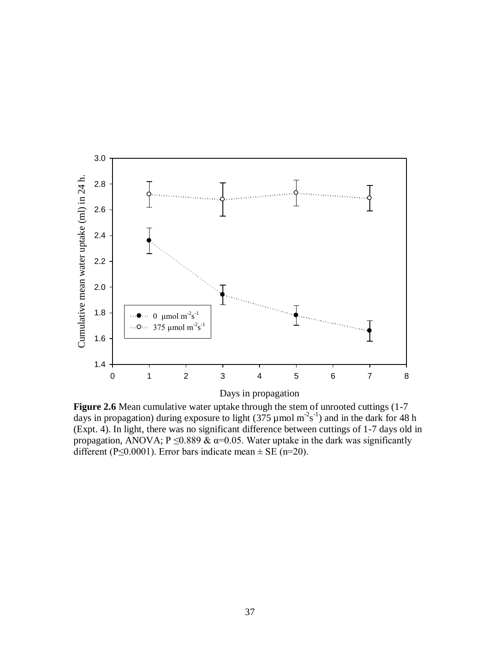

Days in propagation

Figure 2.6 Mean cumulative water uptake through the stem of unrooted cuttings (1-7) days in propagation) during exposure to light (375 µmol  $m<sup>2</sup>s<sup>-1</sup>$ ) and in the dark for 48 h (Expt. 4). In light, there was no significant difference between cuttings of 1-7 days old in propagation, ANOVA;  $P \le 0.889 \& \alpha = 0.05$ . Water uptake in the dark was significantly different (P≤0.0001). Error bars indicate mean  $\pm$  SE (n=20).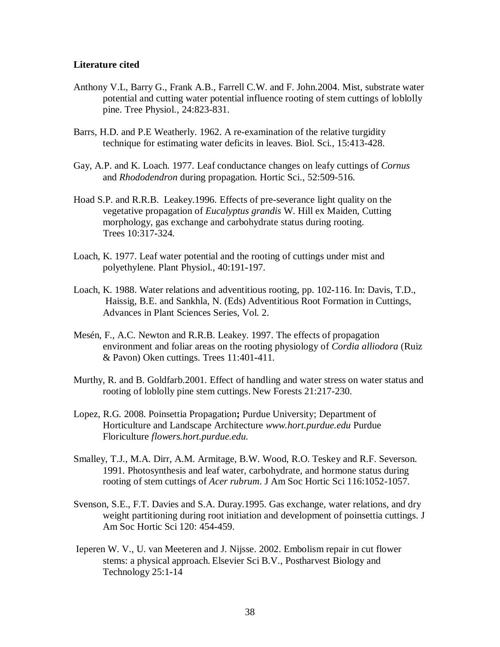# <span id="page-45-0"></span>**Literature cited**

- Anthony V.L, Barry G., Frank A.B., Farrell C.W. and F. John.2004. Mist, substrate water potential and cutting water potential influence rooting of stem cuttings of loblolly pine. Tree Physiol., 24:823-831.
- Barrs, H.D. and P.E Weatherly. 1962. A re-examination of the relative turgidity technique for estimating water deficits in leaves. Biol. Sci., 15:413-428.
- Gay, A.P. and K. Loach. 1977. Leaf conductance changes on leafy cuttings of *Cornus*  and *Rhododendron* during propagation. Hortic Sci., 52:509-516.
- Hoad S.P. and R.R.B. Leakey.1996. Effects of pre-severance light quality on the vegetative propagation of *Eucalyptus grandis* W. Hill ex Maiden, Cutting morphology, gas exchange and carbohydrate status during rooting. Trees 10:317**-**324.
- Loach, K. 1977. Leaf water potential and the rooting of cuttings under mist and polyethylene. Plant Physiol., 40:191**-**197.
- Loach, K. 1988. Water relations and adventitious rooting, pp. 102**-**116. In: Davis, T.D., Haissig, B.E. and Sankhla, N. (Eds) Adventitious Root Formation in Cuttings, Advances in Plant Sciences Series, Vol. 2.
- Mesén, F., A.C. Newton and R.R.B. Leakey. 1997. The effects of propagation environment and foliar areas on the rooting physiology of *Cordia alliodora* (Ruiz & Pavon) Oken cuttings. Trees 11:401**-**411.
- Murthy, R. and B. Goldfarb.2001. Effect of handling and water stress on water status and rooting of loblolly pine stem cuttings. New Forests 21:217-230.
- Lopez, R.G*.* 2008. Poinsettia Propagation**;** Purdue University; Department of Horticulture and Landscape Architecture *www.hort.purdue.edu* Purdue Floriculture *flowers.hort.purdue.edu.*
- Smalley, T.J., M.A. Dirr, A.M. Armitage, B.W. Wood, R.O. Teskey and R.F. Severson. 1991. Photosynthesis and leaf water, carbohydrate, and hormone status during rooting of stem cuttings of *Acer rubrum*. J Am Soc Hortic Sci 116:1052-1057.
- Svenson, S.E., F.T. Davies and S.A. Duray.1995. Gas exchange, water relations, and dry weight partitioning during root initiation and development of poinsettia cuttings. J Am Soc Hortic Sci 120: 454**-**459.
- Ieperen W. V., U. van Meeteren and J. Nijsse. 2002. Embolism repair in cut flower stems: a physical approach. Elsevier Sci B.V., Postharvest Biology and Technology 25:1**-**14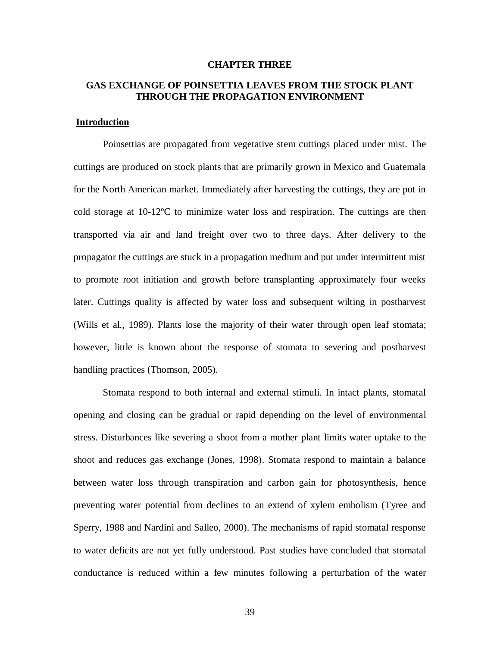#### **CHAPTER THREE**

# <span id="page-46-0"></span>**GAS EXCHANGE OF POINSETTIA LEAVES FROM THE STOCK PLANT THROUGH THE PROPAGATION ENVIRONMENT**

# <span id="page-46-1"></span>**Introduction**

Poinsettias are propagated from vegetative stem cuttings placed under mist. The cuttings are produced on stock plants that are primarily grown in Mexico and Guatemala for the North American market. Immediately after harvesting the cuttings, they are put in cold storage at 10-12ºC to minimize water loss and respiration. The cuttings are then transported via air and land freight over two to three days. After delivery to the propagator the cuttings are stuck in a propagation medium and put under intermittent mist to promote root initiation and growth before transplanting approximately four weeks later. Cuttings quality is affected by water loss and subsequent wilting in postharvest (Wills et al., 1989). Plants lose the majority of their water through open leaf stomata; however, little is known about the response of stomata to severing and postharvest handling practices (Thomson, 2005).

Stomata respond to both internal and external stimuli. In intact plants, stomatal opening and closing can be gradual or rapid depending on the level of environmental stress. Disturbances like severing a shoot from a mother plant limits water uptake to the shoot and reduces gas exchange (Jones, 1998). Stomata respond to maintain a balance between water loss through transpiration and carbon gain for photosynthesis, hence preventing water potential from declines to an extend of xylem embolism (Tyree and Sperry, 1988 and Nardini and Salleo, 2000). The mechanisms of rapid stomatal response to water deficits are not yet fully understood. Past studies have concluded that stomatal conductance is reduced within a few minutes following a perturbation of the water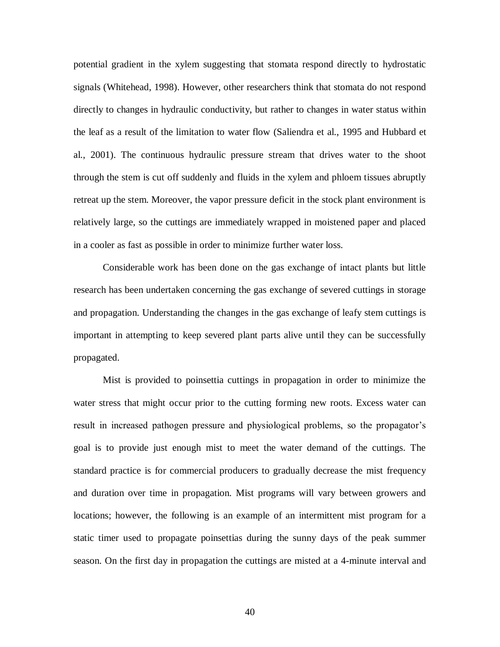potential gradient in the xylem suggesting that stomata respond directly to hydrostatic signals (Whitehead, 1998). However, other researchers think that stomata do not respond directly to changes in hydraulic conductivity, but rather to changes in water status within the leaf as a result of the limitation to water flow (Saliendra et al., 1995 and Hubbard et al., 2001). The continuous hydraulic pressure stream that drives water to the shoot through the stem is cut off suddenly and fluids in the xylem and phloem tissues abruptly retreat up the stem. Moreover, the vapor pressure deficit in the stock plant environment is relatively large, so the cuttings are immediately wrapped in moistened paper and placed in a cooler as fast as possible in order to minimize further water loss.

Considerable work has been done on the gas exchange of intact plants but little research has been undertaken concerning the gas exchange of severed cuttings in storage and propagation. Understanding the changes in the gas exchange of leafy stem cuttings is important in attempting to keep severed plant parts alive until they can be successfully propagated.

Mist is provided to poinsettia cuttings in propagation in order to minimize the water stress that might occur prior to the cutting forming new roots. Excess water can result in increased pathogen pressure and physiological problems, so the propagator's goal is to provide just enough mist to meet the water demand of the cuttings. The standard practice is for commercial producers to gradually decrease the mist frequency and duration over time in propagation. Mist programs will vary between growers and locations; however, the following is an example of an intermittent mist program for a static timer used to propagate poinsettias during the sunny days of the peak summer season. On the first day in propagation the cuttings are misted at a 4-minute interval and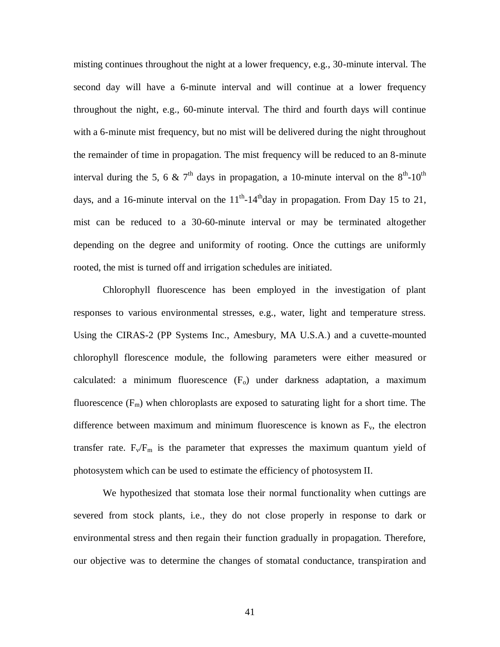misting continues throughout the night at a lower frequency, e.g., 30-minute interval. The second day will have a 6-minute interval and will continue at a lower frequency throughout the night, e.g., 60-minute interval. The third and fourth days will continue with a 6-minute mist frequency, but no mist will be delivered during the night throughout the remainder of time in propagation. The mist frequency will be reduced to an 8-minute interval during the 5, 6 & 7<sup>th</sup> days in propagation, a 10-minute interval on the  $8<sup>th</sup>$ -10<sup>th</sup> days, and a 16-minute interval on the  $11<sup>th</sup>$ -14<sup>th</sup>day in propagation. From Day 15 to 21, mist can be reduced to a 30-60-minute interval or may be terminated altogether depending on the degree and uniformity of rooting. Once the cuttings are uniformly rooted, the mist is turned off and irrigation schedules are initiated.

Chlorophyll fluorescence has been employed in the investigation of plant responses to various environmental stresses, e.g., water, light and temperature stress. Using the CIRAS-2 (PP Systems Inc., Amesbury, MA U.S.A.) and a cuvette-mounted chlorophyll florescence module, the following parameters were either measured or calculated: a minimum fluorescence  $(F<sub>o</sub>)$  under darkness adaptation, a maximum fluorescence  $(F_m)$  when chloroplasts are exposed to saturating light for a short time. The difference between maximum and minimum fluorescence is known as  $F_v$ , the electron transfer rate.  $F_v/F_m$  is the parameter that expresses the maximum quantum yield of photosystem which can be used to estimate the efficiency of photosystem II.

We hypothesized that stomata lose their normal functionality when cuttings are severed from stock plants, i.e., they do not close properly in response to dark or environmental stress and then regain their function gradually in propagation. Therefore, our objective was to determine the changes of stomatal conductance, transpiration and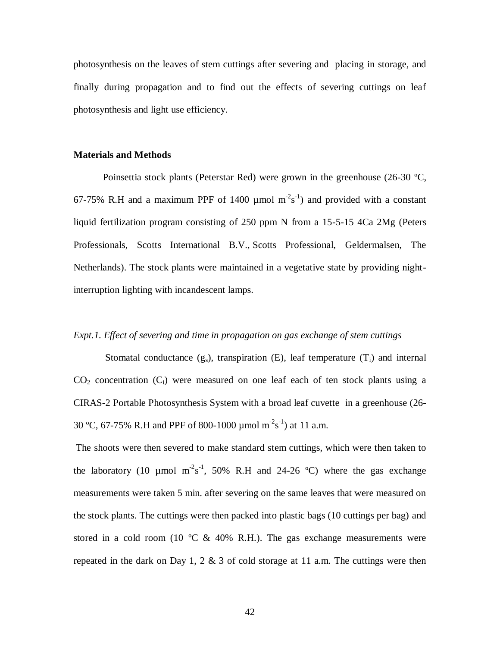photosynthesis on the leaves of stem cuttings after severing and placing in storage, and finally during propagation and to find out the effects of severing cuttings on leaf photosynthesis and light use efficiency.

# <span id="page-49-0"></span>**Materials and Methods**

Poinsettia stock plants (Peterstar Red) were grown in the greenhouse (26-30 ºC, 67-75% R.H and a maximum PPF of 1400  $\mu$ mol m<sup>-2</sup>s<sup>-1</sup>) and provided with a constant liquid fertilization program consisting of 250 ppm N from a 15-5-15 4Ca 2Mg (Peters Professionals, Scotts International B.V., Scotts Professional, Geldermalsen, The Netherlands). The stock plants were maintained in a vegetative state by providing nightinterruption lighting with incandescent lamps.

# *Expt.1. Effect of severing and time in propagation on gas exchange of stem cuttings*

Stomatal conductance  $(g_s)$ , transpiration  $(E)$ , leaf temperature  $(T_i)$  and internal  $CO<sub>2</sub>$  concentration  $(C<sub>i</sub>)$  were measured on one leaf each of ten stock plants using a CIRAS-2 Portable Photosynthesis System with a broad leaf cuvette in a greenhouse (26- 30 °C, 67-75% R.H and PPF of 800-1000 µmol m<sup>-2</sup>s<sup>-1</sup>) at 11 a.m.

The shoots were then severed to make standard stem cuttings, which were then taken to the laboratory (10 µmol  $m^2s^{-1}$ , 50% R.H and 24-26 °C) where the gas exchange measurements were taken 5 min. after severing on the same leaves that were measured on the stock plants. The cuttings were then packed into plastic bags (10 cuttings per bag) and stored in a cold room (10  $\degree$ C & 40% R.H.). The gas exchange measurements were repeated in the dark on Day 1, 2  $\&$  3 of cold storage at 11 a.m. The cuttings were then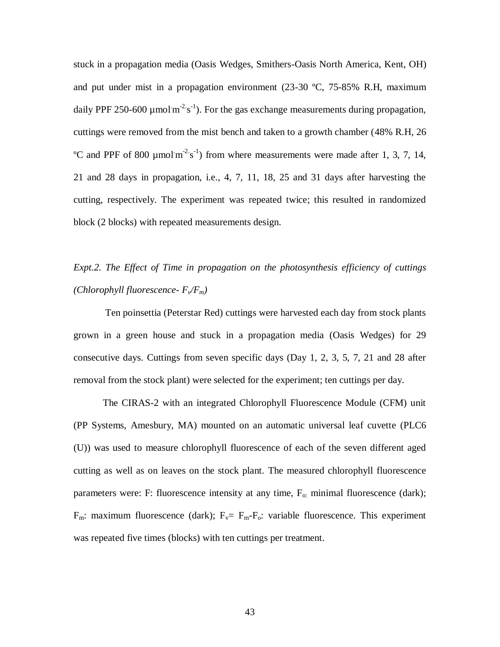stuck in a propagation media (Oasis Wedges, Smithers-Oasis North America, Kent, OH) and put under mist in a propagation environment  $(23-30 \degree C, 75-85\% \degree R)$ . The maximum daily PPF 250-600  $\mu$ mol m<sup>-2</sup> s<sup>-1</sup>). For the gas exchange measurements during propagation, cuttings were removed from the mist bench and taken to a growth chamber (48% R.H, 26 <sup>o</sup>C and PPF of 800  $\mu$ molm<sup>-2</sup>s<sup>-1</sup>) from where measurements were made after 1, 3, 7, 14, 21 and 28 days in propagation, i.e., 4, 7, 11, 18, 25 and 31 days after harvesting the cutting, respectively. The experiment was repeated twice; this resulted in randomized block (2 blocks) with repeated measurements design.

# *Expt.2. The Effect of Time in propagation on the photosynthesis efficiency of cuttings (Chlorophyll fluorescence- Fv/Fm)*

Ten poinsettia (Peterstar Red) cuttings were harvested each day from stock plants grown in a green house and stuck in a propagation media (Oasis Wedges) for 29 consecutive days. Cuttings from seven specific days (Day 1, 2, 3, 5, 7, 21 and 28 after removal from the stock plant) were selected for the experiment; ten cuttings per day.

The CIRAS-2 with an integrated Chlorophyll Fluorescence Module (CFM) unit (PP Systems, Amesbury, MA) mounted on an automatic universal leaf cuvette (PLC6 (U)) was used to measure chlorophyll fluorescence of each of the seven different aged cutting as well as on leaves on the stock plant. The measured chlorophyll fluorescence parameters were: F: fluorescence intensity at any time,  $F_0$ : minimal fluorescence (dark);  $F_m$ : maximum fluorescence (dark);  $F_v = F_m - F_o$ : variable fluorescence. This experiment was repeated five times (blocks) with ten cuttings per treatment.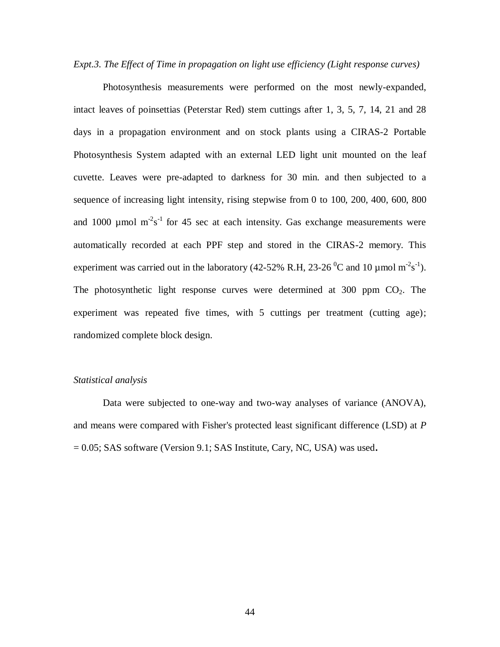*Expt.3. The Effect of Time in propagation on light use efficiency (Light response curves)*

Photosynthesis measurements were performed on the most newly-expanded, intact leaves of poinsettias (Peterstar Red) stem cuttings after 1, 3, 5, 7, 14, 21 and 28 days in a propagation environment and on stock plants using a CIRAS-2 Portable Photosynthesis System adapted with an external LED light unit mounted on the leaf cuvette. Leaves were pre-adapted to darkness for 30 min. and then subjected to a sequence of increasing light intensity, rising stepwise from 0 to 100, 200, 400, 600, 800 and 1000  $\mu$ mol m<sup>-2</sup>s<sup>-1</sup> for 45 sec at each intensity. Gas exchange measurements were automatically recorded at each PPF step and stored in the CIRAS-2 memory. This experiment was carried out in the laboratory (42-52% R.H, 23-26<sup>°</sup>C and 10 µmol m<sup>-2</sup>s<sup>-1</sup>). The photosynthetic light response curves were determined at  $300$  ppm  $CO<sub>2</sub>$ . The experiment was repeated five times, with 5 cuttings per treatment (cutting age); randomized complete block design.

# *Statistical analysis*

Data were subjected to one-way and two-way analyses of variance (ANOVA), and means were compared with Fisher's protected least significant difference (LSD) at *P*  = 0.05; SAS software (Version 9.1; SAS Institute, Cary, NC, USA) was used**.**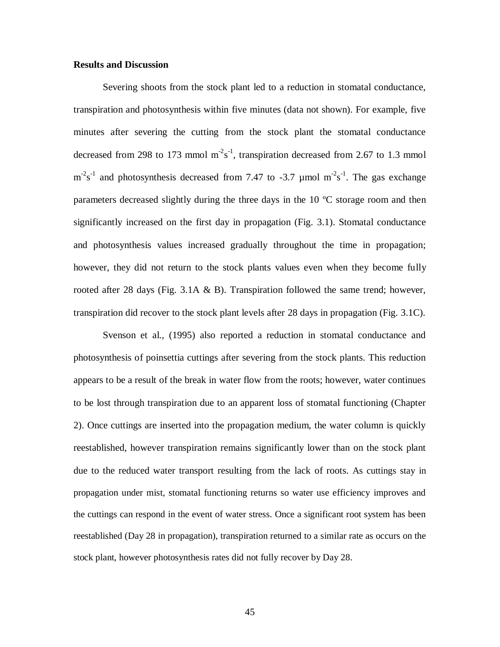# <span id="page-52-0"></span>**Results and Discussion**

Severing shoots from the stock plant led to a reduction in stomatal conductance, transpiration and photosynthesis within five minutes (data not shown). For example, five minutes after severing the cutting from the stock plant the stomatal conductance decreased from 298 to 173 mmol  $m<sup>2</sup>s<sup>-1</sup>$ , transpiration decreased from 2.67 to 1.3 mmol  $m<sup>2</sup>s<sup>-1</sup>$  and photosynthesis decreased from 7.47 to -3.7 µmol  $m<sup>-2</sup>s<sup>-1</sup>$ . The gas exchange parameters decreased slightly during the three days in the 10 ºC storage room and then significantly increased on the first day in propagation (Fig. 3.1). Stomatal conductance and photosynthesis values increased gradually throughout the time in propagation; however, they did not return to the stock plants values even when they become fully rooted after 28 days (Fig. 3.1A  $\&$  B). Transpiration followed the same trend; however, transpiration did recover to the stock plant levels after 28 days in propagation (Fig. 3.1C).

Svenson et al., (1995) also reported a reduction in stomatal conductance and photosynthesis of poinsettia cuttings after severing from the stock plants. This reduction appears to be a result of the break in water flow from the roots; however, water continues to be lost through transpiration due to an apparent loss of stomatal functioning (Chapter 2). Once cuttings are inserted into the propagation medium, the water column is quickly reestablished, however transpiration remains significantly lower than on the stock plant due to the reduced water transport resulting from the lack of roots. As cuttings stay in propagation under mist, stomatal functioning returns so water use efficiency improves and the cuttings can respond in the event of water stress. Once a significant root system has been reestablished (Day 28 in propagation), transpiration returned to a similar rate as occurs on the stock plant, however photosynthesis rates did not fully recover by Day 28.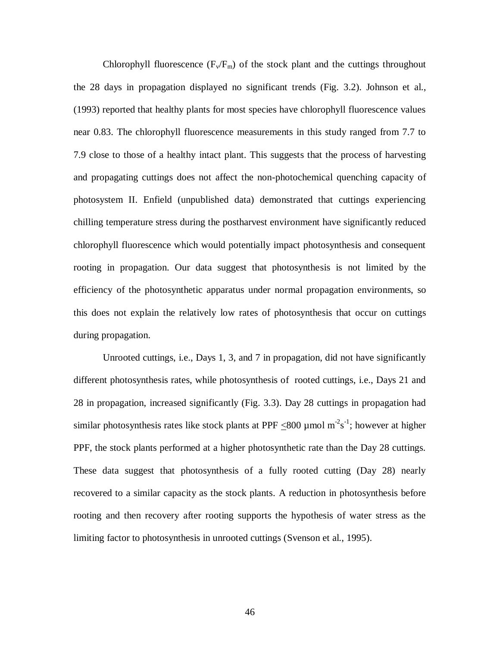Chlorophyll fluorescence  $(F_v/F_m)$  of the stock plant and the cuttings throughout the 28 days in propagation displayed no significant trends (Fig. 3.2). Johnson et al., (1993) reported that healthy plants for most species have chlorophyll fluorescence values near 0.83. The chlorophyll fluorescence measurements in this study ranged from 7.7 to 7.9 close to those of a healthy intact plant. This suggests that the process of harvesting and propagating cuttings does not affect the non-photochemical quenching capacity of photosystem II. Enfield (unpublished data) demonstrated that cuttings experiencing chilling temperature stress during the postharvest environment have significantly reduced chlorophyll fluorescence which would potentially impact photosynthesis and consequent rooting in propagation. Our data suggest that photosynthesis is not limited by the efficiency of the photosynthetic apparatus under normal propagation environments, so this does not explain the relatively low rates of photosynthesis that occur on cuttings during propagation.

Unrooted cuttings, i.e., Days 1, 3, and 7 in propagation, did not have significantly different photosynthesis rates, while photosynthesis of rooted cuttings, i.e., Days 21 and 28 in propagation, increased significantly (Fig. 3.3). Day 28 cuttings in propagation had similar photosynthesis rates like stock plants at PPF  $\leq 800$  µmol m<sup>-2</sup>s<sup>-1</sup>; however at higher PPF, the stock plants performed at a higher photosynthetic rate than the Day 28 cuttings. These data suggest that photosynthesis of a fully rooted cutting (Day 28) nearly recovered to a similar capacity as the stock plants. A reduction in photosynthesis before rooting and then recovery after rooting supports the hypothesis of water stress as the limiting factor to photosynthesis in unrooted cuttings (Svenson et al., 1995).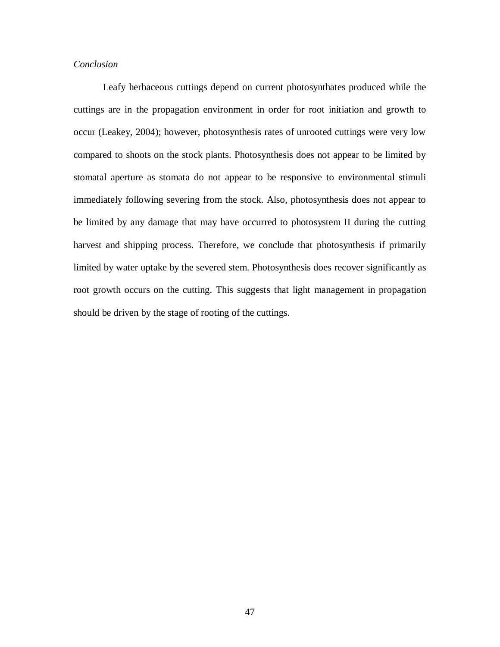# *Conclusion*

Leafy herbaceous cuttings depend on current photosynthates produced while the cuttings are in the propagation environment in order for root initiation and growth to occur (Leakey, 2004); however, photosynthesis rates of unrooted cuttings were very low compared to shoots on the stock plants. Photosynthesis does not appear to be limited by stomatal aperture as stomata do not appear to be responsive to environmental stimuli immediately following severing from the stock. Also, photosynthesis does not appear to be limited by any damage that may have occurred to photosystem II during the cutting harvest and shipping process. Therefore, we conclude that photosynthesis if primarily limited by water uptake by the severed stem. Photosynthesis does recover significantly as root growth occurs on the cutting. This suggests that light management in propagation should be driven by the stage of rooting of the cuttings.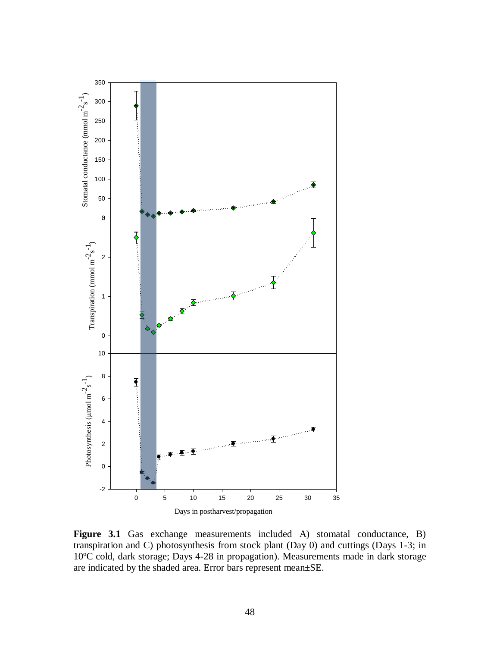

**Figure 3.1** Gas exchange measurements included A) stomatal conductance, B) transpiration and C) photosynthesis from stock plant (Day 0) and cuttings (Days 1-3; in 10ºC cold, dark storage; Days 4-28 in propagation). Measurements made in dark storage are indicated by the shaded area. Error bars represent mean±SE.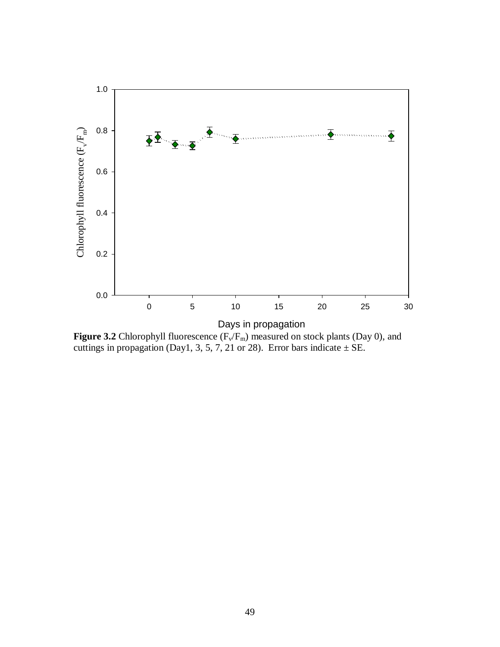

**Figure 3.2** Chlorophyll fluorescence  $(F_v/F_m)$  measured on stock plants (Day 0), and cuttings in propagation (Day1, 3, 5, 7, 21 or 28). Error bars indicate  $\pm$  SE.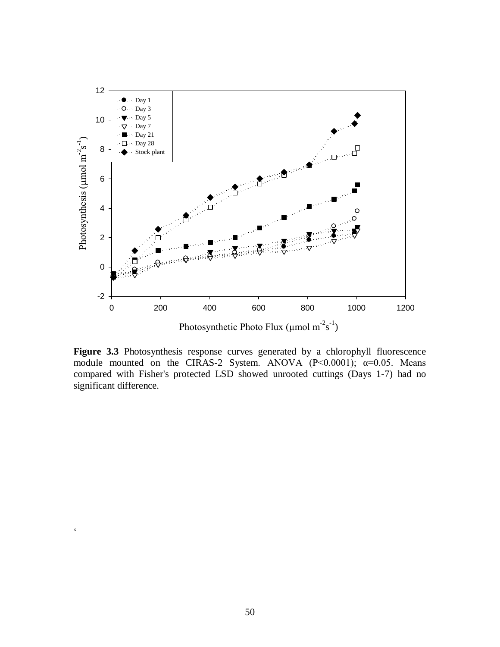

**Figure 3.3** Photosynthesis response curves generated by a chlorophyll fluorescence module mounted on the CIRAS-2 System. ANOVA  $(P< 0.0001)$ ;  $\alpha = 0.05$ . Means compared with Fisher's protected LSD showed unrooted cuttings (Days 1-7) had no significant difference.

 $\zeta$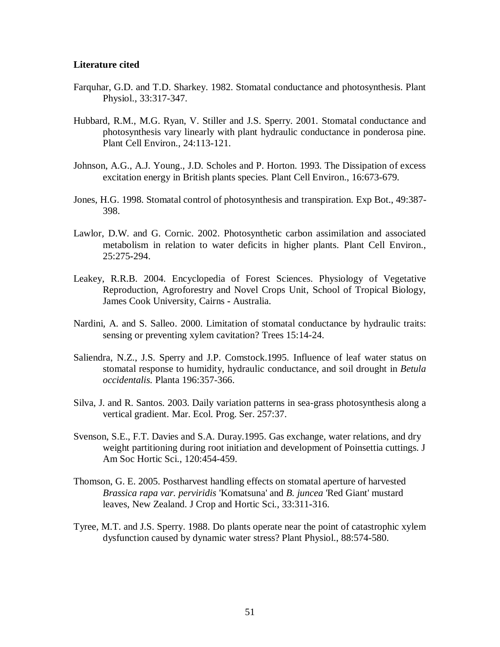# <span id="page-58-0"></span>**Literature cited**

- Farquhar, G.D. and T.D. Sharkey. 1982. Stomatal conductance and photosynthesis. Plant Physiol., 33:317-347.
- Hubbard, R.M., M.G. Ryan, V. Stiller and J.S. Sperry. 2001. Stomatal conductance and photosynthesis vary linearly with plant hydraulic conductance in ponderosa pine. Plant Cell Environ., 24:113-121.
- Johnson, A.G., A.J. Young., J.D. Scholes and P. Horton. 1993. The Dissipation of excess excitation energy in British plants species. Plant Cell Environ., 16:673-679.
- Jones, H.G. 1998. Stomatal control of photosynthesis and transpiration. Exp Bot., 49:387- 398.
- Lawlor, D.W. and G. Cornic. 2002. Photosynthetic carbon assimilation and associated metabolism in relation to water deficits in higher plants. Plant Cell Environ., 25:275**-**294.
- Leakey, R.R.B. 2004. Encyclopedia of Forest Sciences. Physiology of Vegetative Reproduction, Agroforestry and Novel Crops Unit, School of Tropical Biology, James Cook University, Cairns **-** Australia.
- Nardini, A. and S. Salleo. 2000. Limitation of stomatal conductance by hydraulic traits: sensing or preventing xylem cavitation? Trees 15:14-24.
- Saliendra, N.Z., J.S. Sperry and J.P. Comstock.1995. Influence of leaf water status on stomatal response to humidity, hydraulic conductance, and soil drought in *Betula occidentalis.* Planta 196:357-366.
- Silva, J. and R. Santos. 2003. Daily variation patterns in sea-grass photosynthesis along a vertical gradient. Mar. Ecol. Prog. Ser. 257:37.
- Svenson, S.E., F.T. Davies and S.A. Duray.1995. Gas exchange, water relations, and dry weight partitioning during root initiation and development of Poinsettia cuttings. J Am Soc Hortic Sci., 120:454-459.
- Thomson, G. E. 2005. Postharvest handling effects on stomatal aperture of harvested *Brassica rapa var. perviridis* 'Komatsuna' and *B. juncea* 'Red Giant' mustard leaves, New Zealand. J Crop and Hortic Sci., 33:311**-**316.
- Tyree, M.T. and J.S. Sperry. 1988. Do plants operate near the point of catastrophic xylem dysfunction caused by dynamic water stress? Plant Physiol., 88:574-580.